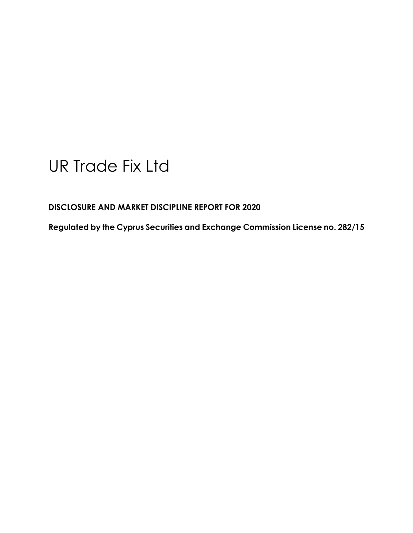# UR Trade Fix Ltd

**DISCLOSURE AND MARKET DISCIPLINE REPORT FOR 2020**

**Regulated by the Cyprus Securities and Exchange Commission License no. 282/15**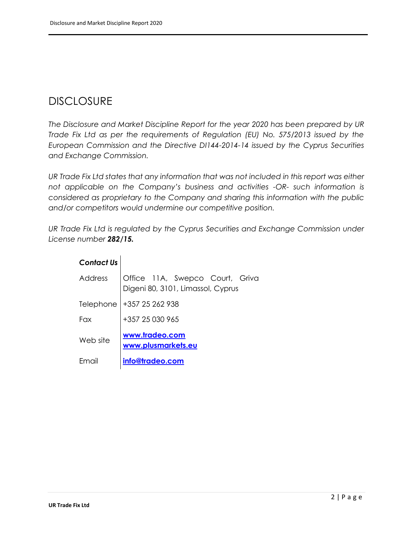# DISCLOSURE

*The Disclosure and Market Discipline Report for the year 2020 has been prepared by UR Trade Fix Ltd as per the requirements of Regulation (EU) No. 575/2013 issued by the European Commission and the Directive DI144-2014-14 issued by the Cyprus Securities and Exchange Commission.*

*UR Trade Fix Ltd states that any information that was not included in this report was either not applicable on the Company's business and activities -OR- such information is considered as proprietary to the Company and sharing this information with the public and/or competitors would undermine our competitive position.* 

*UR Trade Fix Ltd is regulated by the Cyprus Securities and Exchange Commission under License number 282/15.*

| <b>Contact Us</b> |                                                                      |  |  |  |  |  |
|-------------------|----------------------------------------------------------------------|--|--|--|--|--|
| Address           | Office 11A, Swepco Court, Griva<br>Digeni 80, 3101, Limassol, Cyprus |  |  |  |  |  |
| Telephone         | +357 25 262 938                                                      |  |  |  |  |  |
| Fax               | +357 25 030 965                                                      |  |  |  |  |  |
| Web site          | www.tradeo.com<br>www.plusmarkets.eu                                 |  |  |  |  |  |
| Email             | info@tradeo.com                                                      |  |  |  |  |  |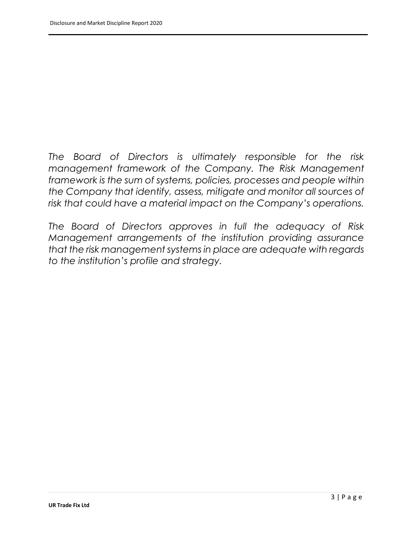*The Board of Directors is ultimately responsible for the risk management framework of the Company. The Risk Management framework is the sum of systems, policies, processes and people within the Company that identify, assess, mitigate and monitor all sources of risk that could have a material impact on the Company's operations.*

*The Board of Directors approves in full the adequacy of Risk Management arrangements of the institution providing assurance that the risk management systems in place are adequate with regards to the institution's profile and strategy.*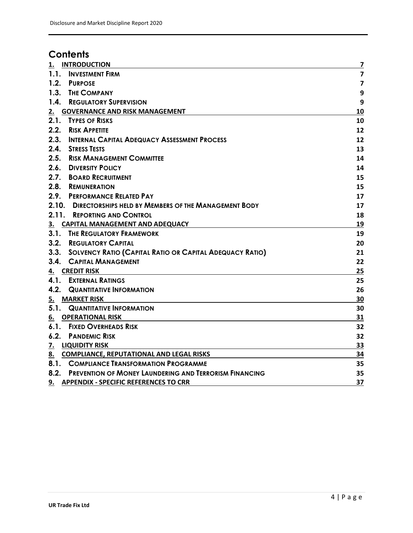# **Contents**

| 1.<br><b>INTRODUCTION</b>                                            | $\overline{\mathbf{z}}$ |
|----------------------------------------------------------------------|-------------------------|
| 1.1. INVESTMENT FIRM                                                 | $\overline{\mathbf{z}}$ |
| 1.2.<br><b>PURPOSE</b>                                               | $\overline{\mathbf{z}}$ |
| 1.3. THE COMPANY                                                     | 9                       |
| 1.4. REGULATORY SUPERVISION                                          | 9                       |
| 2. GOVERNANCE AND RISK MANAGEMENT                                    | 10                      |
| 2.1. TYPES OF RISKS                                                  | 10                      |
| 2.2. RISK APPETITE                                                   | 12                      |
| 2.3. INTERNAL CAPITAL ADEQUACY ASSESSMENT PROCESS                    | 12                      |
| 2.4. STRESS TESTS                                                    | 13                      |
| <b>2.5. RISK MANAGEMENT COMMITTEE</b>                                | 14                      |
| 2.6. DIVERSITY POLICY                                                | 14                      |
| 2.7. BOARD RECRUITMENT                                               | 15                      |
| 2.8. REMUNERATION                                                    | 15                      |
| 2.9. PERFORMANCE RELATED PAY                                         | 17                      |
| 2.10.<br><b>DIRECTORSHIPS HELD BY MEMBERS OF THE MANAGEMENT BODY</b> | 17                      |
| 2.11. REPORTING AND CONTROL                                          | 18                      |
| <b>CAPITAL MANAGEMENT AND ADEQUACY</b><br>3.                         | 19                      |
| 3.1. THE REGULATORY FRAMEWORK                                        | 19                      |
| 3.2. REGULATORY CAPITAL                                              | 20                      |
| 3.3. SOLVENCY RATIO (CAPITAL RATIO OR CAPITAL ADEQUACY RATIO)        | 21                      |
| 3.4.<br><b>CAPITAL MANAGEMENT</b>                                    | 22                      |
| <b>CREDIT RISK</b><br>4.                                             | 25                      |
| <b>4.1. EXTERNAL RATINGS</b>                                         | 25                      |
| <b>4.2. QUANTITATIVE INFORMATION</b>                                 | 26                      |
| <b>5. MARKET RISK</b>                                                | 30                      |
| <b>5.1. QUANTITATIVE INFORMATION</b>                                 | 30                      |
| <b>OPERATIONAL RISK</b><br>6.                                        | 31                      |
| <b>6.1. FIXED OVERHEADS RISK</b>                                     | 32                      |
| 6.2.<br><b>PANDEMIC RISK</b>                                         | 32                      |
| 7. LIQUIDITY RISK                                                    | 33                      |
| 8. COMPLIANCE, REPUTATIONAL AND LEGAL RISKS                          | 34                      |
| 8.1. COMPLIANCE TRANSFORMATION PROGRAMME                             | 35                      |
| 8.2. PREVENTION OF MONEY LAUNDERING AND TERRORISM FINANCING          | 35                      |
| 9. APPENDIX - SPECIFIC REFERENCES TO CRR                             | 37                      |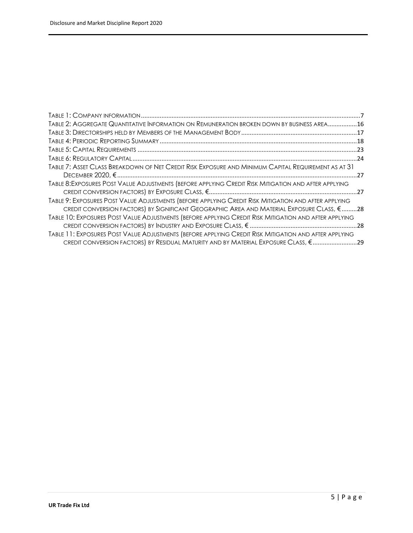| TABLE 2: AGGREGATE QUANTITATIVE INFORMATION ON REMUNERATION BROKEN DOWN BY BUSINESS AREA16            |  |
|-------------------------------------------------------------------------------------------------------|--|
|                                                                                                       |  |
|                                                                                                       |  |
|                                                                                                       |  |
|                                                                                                       |  |
| TABLE 7: ASSET CLASS BREAKDOWN OF NET CREDIT RISK EXPOSURE AND MINIMUM CAPITAL REQUIREMENT AS AT 31   |  |
|                                                                                                       |  |
| TABLE 8: EXPOSURES POST VALUE ADJUSTMENTS (BEFORE APPLYING CREDIT RISK MITIGATION AND AFTER APPLYING  |  |
| TABLE 9: EXPOSURES POST VALUE ADJUSTMENTS (BEFORE APPLYING CREDIT RISK MITIGATION AND AFTER APPLYING  |  |
| CREDIT CONVERSION FACTORS) BY SIGNIFICANT GEOGRAPHIC AREA AND MATERIAL EXPOSURE CLASS, € 28           |  |
| TABLE 10: EXPOSURES POST VALUE ADJUSTMENTS (BEFORE APPLYING CREDIT RISK MITIGATION AND AFTER APPLYING |  |
|                                                                                                       |  |
| TABLE 11: EXPOSURES POST VALUE ADJUSTMENTS (BEFORE APPLYING CREDIT RISK MITIGATION AND AFTER APPLYING |  |
| CREDIT CONVERSION FACTORS) BY RESIDUAL MATURITY AND BY MATERIAL EXPOSURE CLASS, €29                   |  |
|                                                                                                       |  |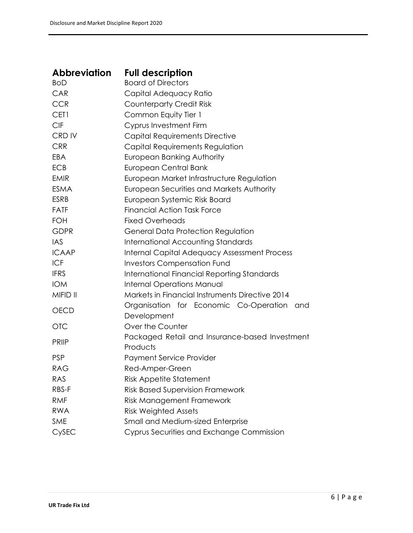| <b>Abbreviation</b> | <b>Full description</b>                                    |  |  |  |  |
|---------------------|------------------------------------------------------------|--|--|--|--|
| <b>BoD</b>          | <b>Board of Directors</b>                                  |  |  |  |  |
| CAR                 | Capital Adequacy Ratio                                     |  |  |  |  |
| <b>CCR</b>          | <b>Counterparty Credit Risk</b>                            |  |  |  |  |
| CET1                | Common Equity Tier 1                                       |  |  |  |  |
| <b>CIF</b>          | Cyprus Investment Firm                                     |  |  |  |  |
| CRD IV              | Capital Requirements Directive                             |  |  |  |  |
| <b>CRR</b>          | Capital Requirements Regulation                            |  |  |  |  |
| EBA                 | European Banking Authority                                 |  |  |  |  |
| <b>ECB</b>          | European Central Bank                                      |  |  |  |  |
| <b>EMIR</b>         | European Market Infrastructure Regulation                  |  |  |  |  |
| <b>ESMA</b>         | European Securities and Markets Authority                  |  |  |  |  |
| <b>ESRB</b>         | European Systemic Risk Board                               |  |  |  |  |
| <b>FATF</b>         | <b>Financial Action Task Force</b>                         |  |  |  |  |
| <b>FOH</b>          | <b>Fixed Overheads</b>                                     |  |  |  |  |
| <b>GDPR</b>         | General Data Protection Regulation                         |  |  |  |  |
| IAS                 | <b>International Accounting Standards</b>                  |  |  |  |  |
| <b>ICAAP</b>        | <b>Internal Capital Adequacy Assessment Process</b>        |  |  |  |  |
| <b>ICF</b>          | <b>Investors Compensation Fund</b>                         |  |  |  |  |
| <b>IFRS</b>         | International Financial Reporting Standards                |  |  |  |  |
| <b>IOM</b>          | <b>Internal Operations Manual</b>                          |  |  |  |  |
| MIFID II            | <b>Markets in Financial Instruments Directive 2014</b>     |  |  |  |  |
| <b>OECD</b>         | Organisation for Economic Co-Operation and<br>Development  |  |  |  |  |
| <b>OTC</b>          | Over the Counter                                           |  |  |  |  |
| <b>PRIIP</b>        | Packaged Retail and Insurance-based Investment<br>Products |  |  |  |  |
| <b>PSP</b>          | <b>Payment Service Provider</b>                            |  |  |  |  |
| RAG                 | Red-Amper-Green                                            |  |  |  |  |
| RAS                 | <b>Risk Appetite Statement</b>                             |  |  |  |  |
| RBS-F               | <b>Risk Based Supervision Framework</b>                    |  |  |  |  |
| <b>RMF</b>          | Risk Management Framework                                  |  |  |  |  |
| <b>RWA</b>          | <b>Risk Weighted Assets</b>                                |  |  |  |  |
| <b>SME</b>          | Small and Medium-sized Enterprise                          |  |  |  |  |
| CySEC               | Cyprus Securities and Exchange Commission                  |  |  |  |  |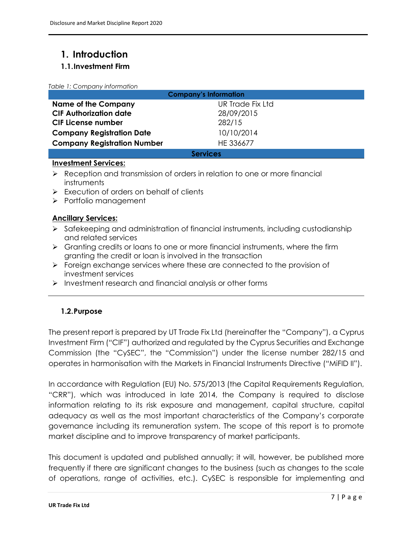# <span id="page-6-0"></span>**1. Introduction**

#### <span id="page-6-1"></span>**1.1.Investment Firm**

<span id="page-6-3"></span>

|  | Table 1: Company information |  |
|--|------------------------------|--|
|  |                              |  |

| <b>Company's Information</b>       |                  |  |  |  |
|------------------------------------|------------------|--|--|--|
| <b>Name of the Company</b>         | UR Trade Fix Ltd |  |  |  |
| <b>CIF Authorization date</b>      | 28/09/2015       |  |  |  |
| <b>CIF License number</b>          | 282/15           |  |  |  |
| <b>Company Registration Date</b>   | 10/10/2014       |  |  |  |
| <b>Company Registration Number</b> | HE 336677        |  |  |  |
| <b>Services</b>                    |                  |  |  |  |

#### **Investment Services:**

- ➢ Reception and transmission of orders in relation to one or more financial instruments
- ➢ Execution of orders on behalf of clients
- ➢ Portfolio management

#### **Ancillary Services:**

- ➢ Safekeeping and administration of financial instruments, including custodianship and related services
- $\triangleright$  Granting credits or loans to one or more financial instruments, where the firm granting the credit or loan is involved in the transaction
- ➢ Foreign exchange services where these are connected to the provision of investment services
- ➢ Investment research and financial analysis or other forms

### <span id="page-6-2"></span>**1.2.Purpose**

The present report is prepared by UT Trade Fix Ltd (hereinafter the "Company"), a Cyprus Investment Firm ("CIF") authorized and regulated by the Cyprus Securities and Exchange Commission (the "CySEC", the "Commission") under the license number 282/15 and operates in harmonisation with the Markets in Financial Instruments Directive ("MiFID II").

In accordance with Regulation (EU) No. 575/2013 (the Capital Requirements Regulation, "CRR"), which was introduced in late 2014, the Company is required to disclose information relating to its risk exposure and management, capital structure, capital adequacy as well as the most important characteristics of the Company's corporate governance including its remuneration system. The scope of this report is to promote market discipline and to improve transparency of market participants.

This document is updated and published annually; it will, however, be published more frequently if there are significant changes to the business (such as changes to the scale of operations, range of activities, etc.). CySEC is responsible for implementing and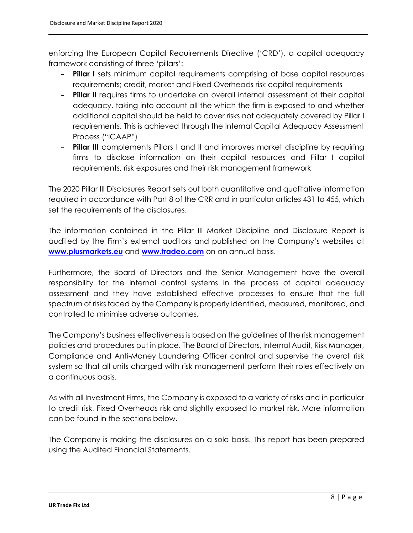enforcing the European Capital Requirements Directive ('CRD'), a capital adequacy framework consisting of three 'pillars':

- **Pillar I** sets minimum capital requirements comprising of base capital resources requirements; credit, market and Fixed Overheads risk capital requirements
- **Pillar II** requires firms to undertake an overall internal assessment of their capital adequacy, taking into account all the which the firm is exposed to and whether additional capital should be held to cover risks not adequately covered by Pillar I requirements. This is achieved through the Internal Capital Adequacy Assessment Process ("ICAAP")
- **Pillar III** complements Pillars I and II and improves market discipline by requiring firms to disclose information on their capital resources and Pillar I capital requirements, risk exposures and their risk management framework

The 2020 Pillar III Disclosures Report sets out both quantitative and qualitative information required in accordance with Part 8 of the CRR and in particular articles 431 to 455, which set the requirements of the disclosures.

The information contained in the Pillar III Market Discipline and Disclosure Report is audited by the Firm's external auditors and published on the Company's websites at **[www.plusmarkets.eu](http://www.plusmarkets.eu/)** and **[www.tradeo.com](http://www.tradeo.com/)** on an annual basis.

Furthermore, the Board of Directors and the Senior Management have the overall responsibility for the internal control systems in the process of capital adequacy assessment and they have established effective processes to ensure that the full spectrum of risks faced by the Company is properly identified, measured, monitored, and controlled to minimise adverse outcomes.

The Company's business effectiveness is based on the guidelines of the risk management policies and procedures put in place. The Board of Directors, Internal Audit, Risk Manager, Compliance and Anti-Money Laundering Officer control and supervise the overall risk system so that all units charged with risk management perform their roles effectively on a continuous basis.

As with all Investment Firms, the Company is exposed to a variety of risks and in particular to credit risk, Fixed Overheads risk and slightly exposed to market risk. More information can be found in the sections below.

The Company is making the disclosures on a solo basis. This report has been prepared using the Audited Financial Statements.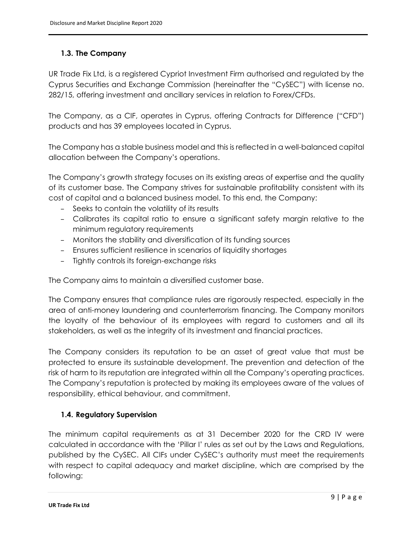#### <span id="page-8-0"></span>**1.3. The Company**

UR Trade Fix Ltd, is a registered Cypriot Investment Firm authorised and regulated by the Cyprus Securities and Exchange Commission (hereinafter the "CySEC") with license no. 282/15, offering investment and ancillary services in relation to Forex/CFDs.

The Company, as a CIF, operates in Cyprus, offering Contracts for Difference ("CFD") products and has 39 employees located in Cyprus.

The Company has a stable business model and this is reflected in a well-balanced capital allocation between the Company's operations.

The Company's growth strategy focuses on its existing areas of expertise and the quality of its customer base. The Company strives for sustainable profitability consistent with its cost of capital and a balanced business model. To this end, the Company:

- Seeks to contain the volatility of its results
- Calibrates its capital ratio to ensure a significant safety margin relative to the minimum regulatory requirements
- Monitors the stability and diversification of its funding sources
- Ensures sufficient resilience in scenarios of liquidity shortages
- Tightly controls its foreign-exchange risks

The Company aims to maintain a diversified customer base.

The Company ensures that compliance rules are rigorously respected, especially in the area of anti-money laundering and counterterrorism financing. The Company monitors the loyalty of the behaviour of its employees with regard to customers and all its stakeholders, as well as the integrity of its investment and financial practices.

The Company considers its reputation to be an asset of great value that must be protected to ensure its sustainable development. The prevention and detection of the risk of harm to its reputation are integrated within all the Company's operating practices. The Company's reputation is protected by making its employees aware of the values of responsibility, ethical behaviour, and commitment.

#### <span id="page-8-1"></span>**1.4. Regulatory Supervision**

The minimum capital requirements as at 31 December 2020 for the CRD IV were calculated in accordance with the 'Pillar I' rules as set out by the Laws and Regulations, published by the CySEC. All CIFs under CySEC's authority must meet the requirements with respect to capital adequacy and market discipline, which are comprised by the following: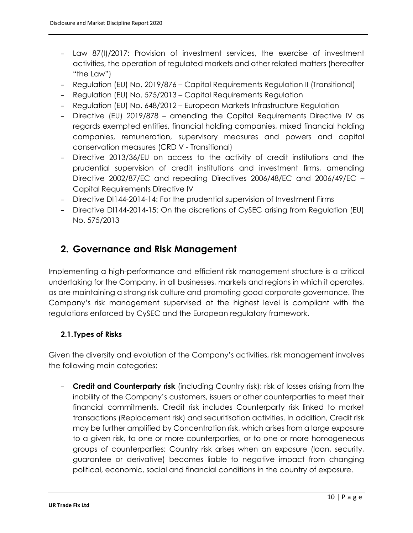- Law 87(I)/2017: Provision of investment services, the exercise of investment activities, the operation of regulated markets and other related matters (hereafter "the Law")
- Regulation (EU) No. 2019/876 Capital Requirements Regulation II (Transitional)
- Regulation (EU) No. 575/2013 Capital Requirements Regulation
- Regulation (EU) No. 648/2012 European Markets Infrastructure Regulation
- Directive (EU) 2019/878 amending the Capital Requirements Directive IV as regards exempted entities, financial holding companies, mixed financial holding companies, remuneration, supervisory measures and powers and capital conservation measures (CRD V - Transitional)
- Directive 2013/36/EU on access to the activity of credit institutions and the prudential supervision of credit institutions and investment firms, amending Directive 2002/87/EC and repealing Directives 2006/48/EC and 2006/49/EC – Capital Requirements Directive IV
- Directive DI144-2014-14: For the prudential supervision of Investment Firms
- Directive DI144-2014-15: On the discretions of CySEC arising from Regulation (EU) No. 575/2013

### <span id="page-9-0"></span>**2. Governance and Risk Management**

Implementing a high-performance and efficient risk management structure is a critical undertaking for the Company, in all businesses, markets and regions in which it operates, as are maintaining a strong risk culture and promoting good corporate governance. The Company's risk management supervised at the highest level is compliant with the regulations enforced by CySEC and the European regulatory framework.

#### <span id="page-9-1"></span>**2.1.Types of Risks**

Given the diversity and evolution of the Company's activities, risk management involves the following main categories:

– **Credit and Counterparty risk** (including Country risk): risk of losses arising from the inability of the Company's customers, issuers or other counterparties to meet their financial commitments. Credit risk includes Counterparty risk linked to market transactions (Replacement risk) and securitisation activities. In addition, Credit risk may be further amplified by Concentration risk, which arises from a large exposure to a given risk, to one or more counterparties, or to one or more homogeneous groups of counterparties; Country risk arises when an exposure (loan, security, guarantee or derivative) becomes liable to negative impact from changing political, economic, social and financial conditions in the country of exposure.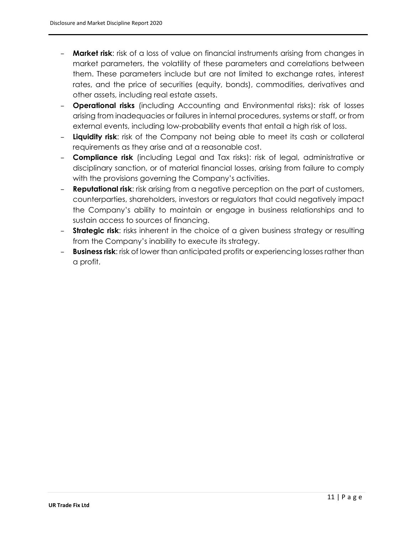- **Market risk**: risk of a loss of value on financial instruments arising from changes in market parameters, the volatility of these parameters and correlations between them. These parameters include but are not limited to exchange rates, interest rates, and the price of securities (equity, bonds), commodities, derivatives and other assets, including real estate assets.
- **Operational risks** (including Accounting and Environmental risks): risk of losses arising from inadequacies or failures in internal procedures, systems or staff, or from external events, including low-probability events that entail a high risk of loss.
- **Liquidity risk**: risk of the Company not being able to meet its cash or collateral requirements as they arise and at a reasonable cost.
- **Compliance risk** (including Legal and Tax risks): risk of legal, administrative or disciplinary sanction, or of material financial losses, arising from failure to comply with the provisions governing the Company's activities.
- **Reputational risk**: risk arising from a negative perception on the part of customers, counterparties, shareholders, investors or regulators that could negatively impact the Company's ability to maintain or engage in business relationships and to sustain access to sources of financing.
- **Strategic risk**: risks inherent in the choice of a given business strategy or resulting from the Company's inability to execute its strategy.
- **Business risk**: risk of lower than anticipated profits or experiencing losses rather than a profit.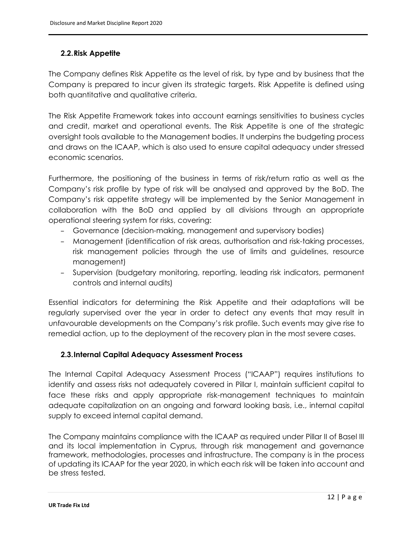#### <span id="page-11-0"></span>**2.2.Risk Appetite**

The Company defines Risk Appetite as the level of risk, by type and by business that the Company is prepared to incur given its strategic targets. Risk Appetite is defined using both quantitative and qualitative criteria.

The Risk Appetite Framework takes into account earnings sensitivities to business cycles and credit, market and operational events. The Risk Appetite is one of the strategic oversight tools available to the Management bodies. It underpins the budgeting process and draws on the ICAAP, which is also used to ensure capital adequacy under stressed economic scenarios.

Furthermore, the positioning of the business in terms of risk/return ratio as well as the Company's risk profile by type of risk will be analysed and approved by the BoD. The Company's risk appetite strategy will be implemented by the Senior Management in collaboration with the BoD and applied by all divisions through an appropriate operational steering system for risks, covering:

- Governance (decision-making, management and supervisory bodies)
- Management (identification of risk areas, authorisation and risk-taking processes, risk management policies through the use of limits and guidelines, resource management)
- Supervision (budgetary monitoring, reporting, leading risk indicators, permanent controls and internal audits)

Essential indicators for determining the Risk Appetite and their adaptations will be regularly supervised over the year in order to detect any events that may result in unfavourable developments on the Company's risk profile. Such events may give rise to remedial action, up to the deployment of the recovery plan in the most severe cases.

#### <span id="page-11-1"></span>**2.3.Internal Capital Adequacy Assessment Process**

The Internal Capital Adequacy Assessment Process ("ICAAP") requires institutions to identify and assess risks not adequately covered in Pillar I, maintain sufficient capital to face these risks and apply appropriate risk-management techniques to maintain adequate capitalization on an ongoing and forward looking basis, i.e., internal capital supply to exceed internal capital demand.

The Company maintains compliance with the ICAAP as required under Pillar II of Basel III and its local implementation in Cyprus, through risk management and governance framework, methodologies, processes and infrastructure. The company is in the process of updating its ICAAP for the year 2020, in which each risk will be taken into account and be stress tested.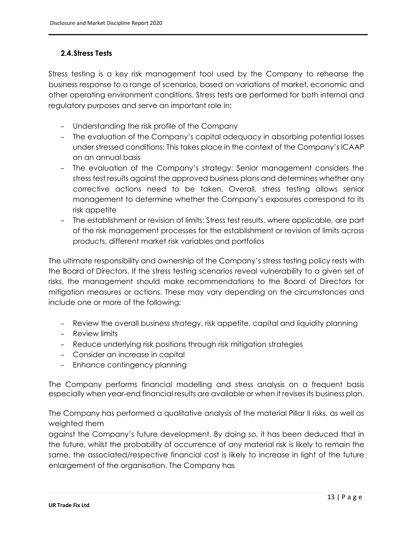#### <span id="page-12-0"></span>**2.4.Stress Tests**

Stress testing is a key risk management tool used by the Company to rehearse the business response to a range of scenarios, based on variations of market, economic and other operating environment conditions. Stress tests are performed for both internal and regulatory purposes and serve an important role in:

- Understanding the risk profile of the Company
- The evaluation of the Company's capital adequacy in absorbing potential losses under stressed conditions: This takes place in the context of the Company's ICAAP on an annual basis
- The evaluation of the Company's strategy: Senior management considers the stress test results against the approved business plans and determines whether any corrective actions need to be taken. Overall, stress testing allows senior management to determine whether the Company's exposures correspond to its risk appetite
- The establishment or revision of limits: Stress test results, where applicable, are part of the risk management processes for the establishment or revision of limits across products, different market risk variables and portfolios

The ultimate responsibility and ownership of the Company's stress testing policy rests with the Board of Directors. If the stress testing scenarios reveal vulnerability to a given set of risks, the management should make recommendations to the Board of Directors for mitigation measures or actions. These may vary depending on the circumstances and include one or more of the following:

- Review the overall business strategy, risk appetite, capital and liquidity planning
- Review limits
- Reduce underlying risk positions through risk mitigation strategies
- Consider an increase in capital
- Enhance contingency planning

The Company performs financial modelling and stress analysis on a frequent basis especially when year-end financial results are available or when it revises its business plan.

The Company has performed a qualitative analysis of the material Pillar II risks, as well as weighted them

against the Company's future development. By doing so, it has been deduced that in the future, whilst the probability of occurrence of any material risk is likely to remain the same, the associated/respective financial cost is likely to increase in light of the future enlargement of the organisation. The Company has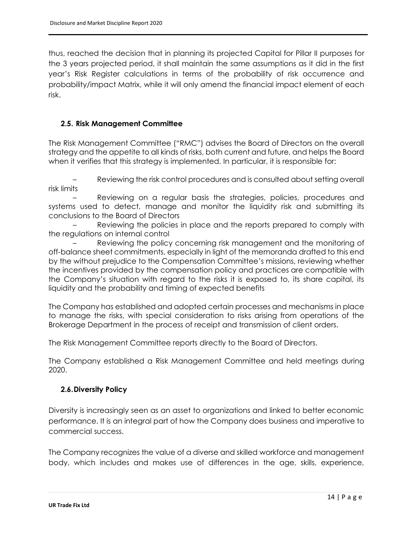thus, reached the decision that in planning its projected Capital for Pillar II purposes for the 3 years projected period, it shall maintain the same assumptions as it did in the first year's Risk Register calculations in terms of the probability of risk occurrence and probability/impact Matrix, while it will only amend the financial impact element of each risk.

#### <span id="page-13-0"></span>**2.5. Risk Management Committee**

The Risk Management Committee ("RMC") advises the Board of Directors on the overall strategy and the appetite to all kinds of risks, both current and future, and helps the Board when it verifies that this strategy is implemented. In particular, it is responsible for:

– Reviewing the risk control procedures and is consulted about setting overall risk limits

– Reviewing on a regular basis the strategies, policies, procedures and systems used to detect, manage and monitor the liquidity risk and submitting its conclusions to the Board of Directors

– Reviewing the policies in place and the reports prepared to comply with the regulations on internal control

– Reviewing the policy concerning risk management and the monitoring of off-balance sheet commitments, especially in light of the memoranda drafted to this end by the without prejudice to the Compensation Committee's missions, reviewing whether the incentives provided by the compensation policy and practices are compatible with the Company's situation with regard to the risks it is exposed to, its share capital, its liquidity and the probability and timing of expected benefits

The Company has established and adopted certain processes and mechanisms in place to manage the risks, with special consideration to risks arising from operations of the Brokerage Department in the process of receipt and transmission of client orders.

The Risk Management Committee reports directly to the Board of Directors.

The Company established a Risk Management Committee and held meetings during 2020.

#### <span id="page-13-1"></span>**2.6.Diversity Policy**

Diversity is increasingly seen as an asset to organizations and linked to better economic performance. It is an integral part of how the Company does business and imperative to commercial success.

The Company recognizes the value of a diverse and skilled workforce and management body, which includes and makes use of differences in the age, skills, experience,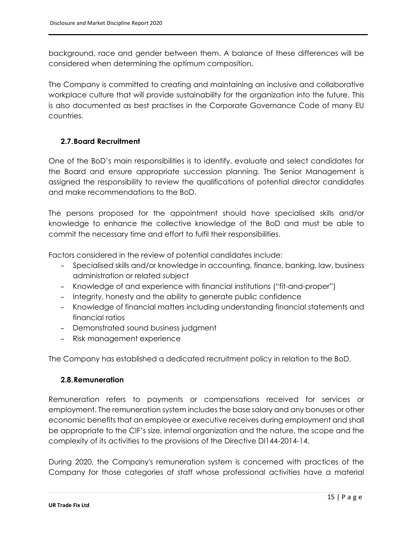background, race and gender between them. A balance of these differences will be considered when determining the optimum composition.

The Company is committed to creating and maintaining an inclusive and collaborative workplace culture that will provide sustainability for the organization into the future. This is also documented as best practises in the Corporate Governance Code of many EU countries.

#### <span id="page-14-0"></span>**2.7.Board Recruitment**

One of the BoD's main responsibilities is to identify, evaluate and select candidates for the Board and ensure appropriate succession planning. The Senior Management is assigned the responsibility to review the qualifications of potential director candidates and make recommendations to the BoD.

The persons proposed for the appointment should have specialised skills and/or knowledge to enhance the collective knowledge of the BoD and must be able to commit the necessary time and effort to fulfil their responsibilities.

Factors considered in the review of potential candidates include:

- Specialised skills and/or knowledge in accounting, finance, banking, law, business administration or related subject
- Knowledge of and experience with financial institutions ("fit-and-proper")
- Integrity, honesty and the ability to generate public confidence
- Knowledge of financial matters including understanding financial statements and financial ratios
- Demonstrated sound business judgment
- Risk management experience

The Company has established a dedicated recruitment policy in relation to the BoD.

#### <span id="page-14-1"></span>**2.8.Remuneration**

Remuneration refers to payments or compensations received for services or employment. The remuneration system includes the base salary and any bonuses or other economic benefits that an employee or executive receives during employment and shall be appropriate to the CIF's size, internal organization and the nature, the scope and the complexity of its activities to the provisions of the Directive DI144-2014-14.

During 2020, the Company's remuneration system is concerned with practices of the Company for those categories of staff whose professional activities have a material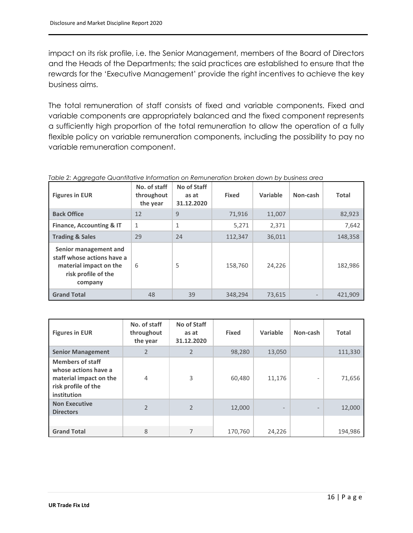impact on its risk profile, i.e. the Senior Management, members of the Board of Directors and the Heads of the Departments; the said practices are established to ensure that the rewards for the 'Executive Management' provide the right incentives to achieve the key business aims.

The total remuneration of staff consists of fixed and variable components. Fixed and variable components are appropriately balanced and the fixed component represents a sufficiently high proportion of the total remuneration to allow the operation of a fully flexible policy on variable remuneration components, including the possibility to pay no variable remuneration component.

<span id="page-15-0"></span>

| Table 2: Aggregate Quantitative Information on Remuneration broken down by business area |
|------------------------------------------------------------------------------------------|
|------------------------------------------------------------------------------------------|

| <b>Figures in EUR</b>                                                                                           | No. of staff<br>throughout<br>the year | No of Staff<br>as at<br>31.12.2020 | <b>Fixed</b> | Variable | Non-cash                 | <b>Total</b> |
|-----------------------------------------------------------------------------------------------------------------|----------------------------------------|------------------------------------|--------------|----------|--------------------------|--------------|
| <b>Back Office</b>                                                                                              | 12                                     | 9                                  | 71,916       | 11,007   |                          | 82,923       |
| <b>Finance, Accounting &amp; IT</b>                                                                             | 1                                      | $\mathbf{1}$                       | 5,271        | 2,371    |                          | 7,642        |
| <b>Trading &amp; Sales</b>                                                                                      | 29                                     | 24                                 | 112,347      | 36,011   |                          | 148,358      |
| Senior management and<br>staff whose actions have a<br>material impact on the<br>risk profile of the<br>company | 6                                      | 5                                  | 158,760      | 24,226   |                          | 182,986      |
| <b>Grand Total</b>                                                                                              | 48                                     | 39                                 | 348,294      | 73,615   | $\overline{\phantom{a}}$ | 421,909      |

| <b>Figures in EUR</b>                                                                                           | No. of staff<br>throughout<br>the year | No of Staff<br>as at<br>31.12.2020 | <b>Fixed</b> | Variable                 | Non-cash                 | <b>Total</b> |
|-----------------------------------------------------------------------------------------------------------------|----------------------------------------|------------------------------------|--------------|--------------------------|--------------------------|--------------|
| <b>Senior Management</b>                                                                                        | $\overline{2}$                         | 2                                  | 98,280       | 13,050                   |                          | 111,330      |
| <b>Members of staff</b><br>whose actions have a<br>material impact on the<br>risk profile of the<br>institution | $\overline{4}$                         | 3                                  | 60,480       | 11,176                   |                          | 71,656       |
| <b>Non Executive</b><br><b>Directors</b>                                                                        | $\mathfrak{D}$                         | $\mathfrak{D}$                     | 12,000       | $\overline{\phantom{a}}$ | $\overline{\phantom{a}}$ | 12,000       |
|                                                                                                                 |                                        |                                    |              |                          |                          |              |
| <b>Grand Total</b>                                                                                              | 8                                      |                                    | 170,760      | 24,226                   |                          | 194,986      |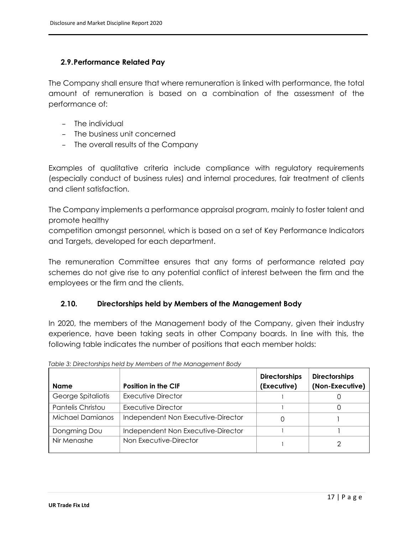#### <span id="page-16-0"></span>**2.9.Performance Related Pay**

The Company shall ensure that where remuneration is linked with performance, the total amount of remuneration is based on a combination of the assessment of the performance of:

- The individual
- The business unit concerned
- The overall results of the Company

Examples of qualitative criteria include compliance with regulatory requirements (especially conduct of business rules) and internal procedures, fair treatment of clients and client satisfaction.

The Company implements a performance appraisal program, mainly to foster talent and promote healthy

competition amongst personnel, which is based on a set of Key Performance Indicators and Targets, developed for each department.

The remuneration Committee ensures that any forms of performance related pay schemes do not give rise to any potential conflict of interest between the firm and the employees or the firm and the clients.

#### <span id="page-16-1"></span>**2.10. Directorships held by Members of the Management Body**

In 2020, the members of the Management body of the Company, given their industry experience, have been taking seats in other Company boards. In line with this, the following table indicates the number of positions that each member holds:

|                         |                                    | <b>Directorships</b> | <b>Directorships</b> |
|-------------------------|------------------------------------|----------------------|----------------------|
| <b>Name</b>             | <b>Position in the CIF</b>         | (Executive)          | (Non-Executive)      |
| George Spitaliotis      | Executive Director                 |                      |                      |
| Pantelis Christou       | Executive Director                 |                      |                      |
| <b>Michael Damianos</b> | Independent Non Executive-Director | 0                    |                      |
| Dongming Dou            | Independent Non Executive-Director |                      |                      |
| Nir Menashe             | Non Executive-Director             |                      | っ                    |

<span id="page-16-2"></span>

|  | Table 3: Directorships held by Members of the Management Body |
|--|---------------------------------------------------------------|
|  |                                                               |
|  |                                                               |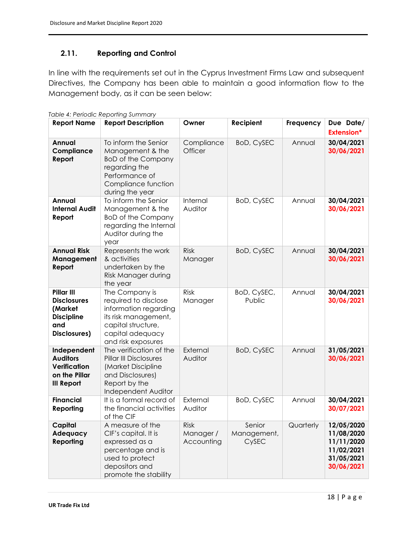#### <span id="page-17-0"></span>**2.11. Reporting and Control**

In line with the requirements set out in the Cyprus Investment Firms Law and subsequent Directives, the Company has been able to maintain a good information flow to the Management body, as it can be seen below:

| <b>Report Name</b>                                                                      | <b>Report Description</b>                                                                                                                               | Owner                                  | Recipient                      | Frequency | Due Date/<br><b>Extension*</b>                                                   |
|-----------------------------------------------------------------------------------------|---------------------------------------------------------------------------------------------------------------------------------------------------------|----------------------------------------|--------------------------------|-----------|----------------------------------------------------------------------------------|
| Annual<br>Compliance<br>Report                                                          | To inform the Senior<br>Management & the<br><b>BoD of the Company</b><br>regarding the<br>Performance of<br>Compliance function<br>during the year      | Compliance<br>Officer                  | <b>BoD, CySEC</b>              | Annual    | 30/04/2021<br>30/06/2021                                                         |
| Annual<br><b>Internal Audit</b><br>Report                                               | To inform the Senior<br>Management & the<br><b>BoD of the Company</b><br>regarding the Internal<br>Auditor during the<br>year                           | Internal<br>Auditor                    | <b>BoD, CySEC</b>              | Annual    | 30/04/2021<br>30/06/2021                                                         |
| <b>Annual Risk</b><br>Management<br>Report                                              | Represents the work<br>& activities<br>undertaken by the<br>Risk Manager during<br>the year                                                             | <b>Risk</b><br>Manager                 | <b>BoD, CySEC</b>              | Annual    | 30/04/2021<br>30/06/2021                                                         |
| Pillar III<br><b>Disclosures</b><br>(Market<br><b>Discipline</b><br>and<br>Disclosures) | The Company is<br>required to disclose<br>information regarding<br>its risk management,<br>capital structure,<br>capital adequacy<br>and risk exposures | Risk<br>Manager                        | BoD, CySEC,<br>Public          | Annual    | 30/04/2021<br>30/06/2021                                                         |
| Independent<br><b>Auditors</b><br>Verification<br>on the Pillar<br><b>III Report</b>    | The verification of the<br><b>Pillar III Disclosures</b><br>(Market Discipline<br>and Disclosures)<br>Report by the<br>Independent Auditor              | External<br>Auditor                    | <b>BoD, CySEC</b>              | Annual    | 31/05/2021<br>30/06/2021                                                         |
| <b>Financial</b><br>Reporting                                                           | It is a formal record of<br>the financial activities<br>of the CIF                                                                                      | External<br>Auditor                    | <b>BoD, CySEC</b>              | Annual    | 30/04/2021<br>30/07/2021                                                         |
| Capital<br>Adequacy<br>Reporting                                                        | A measure of the<br>CIF's capital. It is<br>expressed as a<br>percentage and is<br>used to protect<br>depositors and<br>promote the stability           | <b>Risk</b><br>Manager /<br>Accounting | Senior<br>Management,<br>CySEC | Quarterly | 12/05/2020<br>11/08/2020<br>11/11/2020<br>11/02/2021<br>31/05/2021<br>30/06/2021 |

<span id="page-17-1"></span>*Table 4: Periodic Reporting Summary*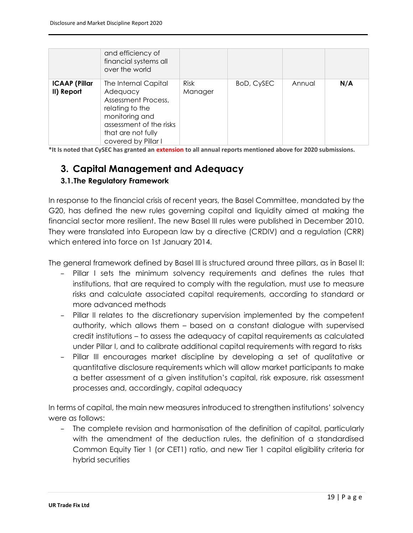|                                    | and efficiency of<br>financial systems all<br>over the world                                                                                                         |                        |            |        |     |
|------------------------------------|----------------------------------------------------------------------------------------------------------------------------------------------------------------------|------------------------|------------|--------|-----|
| <b>ICAAP (Pillar</b><br>II) Report | The Internal Capital<br>Adequacy<br>Assessment Process,<br>relating to the<br>monitoring and<br>assessment of the risks<br>that are not fully<br>covered by Pillar I | <b>Risk</b><br>Manager | BoD, CySEC | Annual | N/A |

**\*It Is noted that CySEC has granted an extension to all annual reports mentioned above for 2020 submissions.**

### <span id="page-18-0"></span>**3. Capital Management and Adequacy**

#### <span id="page-18-1"></span>**3.1.The Regulatory Framework**

In response to the financial crisis of recent years, the Basel Committee, mandated by the G20, has defined the new rules governing capital and liquidity aimed at making the financial sector more resilient. The new Basel III rules were published in December 2010. They were translated into European law by a directive (CRDIV) and a regulation (CRR) which entered into force on 1st January 2014.

The general framework defined by Basel III is structured around three pillars, as in Basel II:

- Pillar I sets the minimum solvency requirements and defines the rules that institutions, that are required to comply with the regulation, must use to measure risks and calculate associated capital requirements, according to standard or more advanced methods
- Pillar II relates to the discretionary supervision implemented by the competent authority, which allows them – based on a constant dialogue with supervised credit institutions – to assess the adequacy of capital requirements as calculated under Pillar I, and to calibrate additional capital requirements with regard to risks
- Pillar III encourages market discipline by developing a set of qualitative or quantitative disclosure requirements which will allow market participants to make a better assessment of a given institution's capital, risk exposure, risk assessment processes and, accordingly, capital adequacy

In terms of capital, the main new measures introduced to strengthen institutions' solvency were as follows:

– The complete revision and harmonisation of the definition of capital, particularly with the amendment of the deduction rules, the definition of a standardised Common Equity Tier 1 (or CET1) ratio, and new Tier 1 capital eligibility criteria for hybrid securities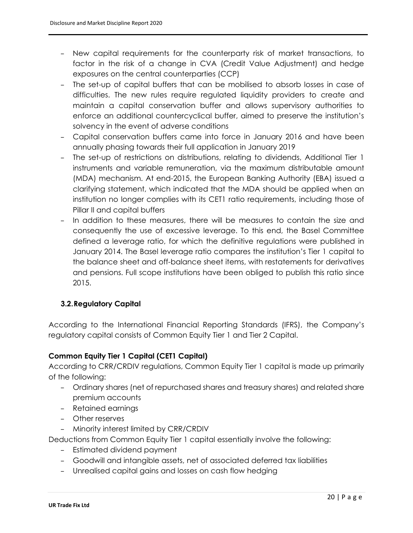- New capital requirements for the counterparty risk of market transactions, to factor in the risk of a change in CVA (Credit Value Adjustment) and hedge exposures on the central counterparties (CCP)
- The set-up of capital buffers that can be mobilised to absorb losses in case of difficulties. The new rules require regulated liquidity providers to create and maintain a capital conservation buffer and allows supervisory authorities to enforce an additional countercyclical buffer, aimed to preserve the institution's solvency in the event of adverse conditions
- Capital conservation buffers came into force in January 2016 and have been annually phasing towards their full application in January 2019
- The set-up of restrictions on distributions, relating to dividends, Additional Tier 1 instruments and variable remuneration, via the maximum distributable amount (MDA) mechanism. At end-2015, the European Banking Authority (EBA) issued a clarifying statement, which indicated that the MDA should be applied when an institution no longer complies with its CET1 ratio requirements, including those of Pillar II and capital buffers
- In addition to these measures, there will be measures to contain the size and consequently the use of excessive leverage. To this end, the Basel Committee defined a leverage ratio, for which the definitive regulations were published in January 2014. The Basel leverage ratio compares the institution's Tier 1 capital to the balance sheet and off-balance sheet items, with restatements for derivatives and pensions. Full scope institutions have been obliged to publish this ratio since 2015.

### <span id="page-19-0"></span>**3.2.Regulatory Capital**

According to the International Financial Reporting Standards (IFRS), the Company's regulatory capital consists of Common Equity Tier 1 and Tier 2 Capital.

#### **Common Equity Tier 1 Capital (CET1 Capital)**

According to CRR/CRDIV regulations, Common Equity Tier 1 capital is made up primarily of the following:

- Ordinary shares (net of repurchased shares and treasury shares) and related share premium accounts
- Retained earnings
- Other reserves
- Minority interest limited by CRR/CRDIV

Deductions from Common Equity Tier 1 capital essentially involve the following:

- Estimated dividend payment
- Goodwill and intangible assets, net of associated deferred tax liabilities
- Unrealised capital gains and losses on cash flow hedging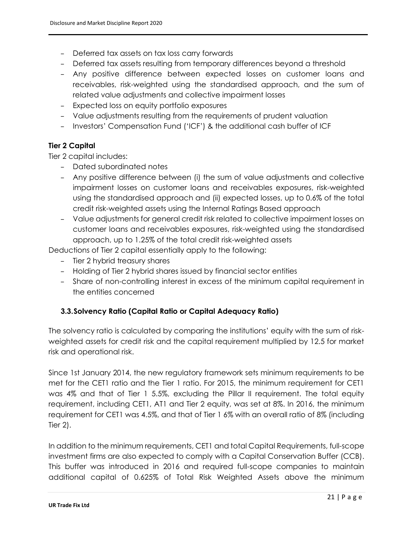- Deferred tax assets on tax loss carry forwards
- Deferred tax assets resulting from temporary differences beyond a threshold
- Any positive difference between expected losses on customer loans and receivables, risk-weighted using the standardised approach, and the sum of related value adjustments and collective impairment losses
- Expected loss on equity portfolio exposures
- Value adjustments resulting from the requirements of prudent valuation
- Investors' Compensation Fund ('ICF') & the additional cash buffer of ICF

#### **Tier 2 Capital**

Tier 2 capital includes:

- Dated subordinated notes
- Any positive difference between (i) the sum of value adjustments and collective impairment losses on customer loans and receivables exposures, risk-weighted using the standardised approach and (ii) expected losses, up to 0.6% of the total credit risk-weighted assets using the Internal Ratings Based approach
- Value adjustments for general credit risk related to collective impairment losses on customer loans and receivables exposures, risk-weighted using the standardised approach, up to 1.25% of the total credit risk-weighted assets

Deductions of Tier 2 capital essentially apply to the following:

- Tier 2 hybrid treasury shares
- Holding of Tier 2 hybrid shares issued by financial sector entities
- Share of non-controlling interest in excess of the minimum capital requirement in the entities concerned

#### <span id="page-20-0"></span>**3.3.Solvency Ratio (Capital Ratio or Capital Adequacy Ratio)**

The solvency ratio is calculated by comparing the institutions' equity with the sum of riskweighted assets for credit risk and the capital requirement multiplied by 12.5 for market risk and operational risk.

Since 1st January 2014, the new regulatory framework sets minimum requirements to be met for the CET1 ratio and the Tier 1 ratio. For 2015, the minimum requirement for CET1 was 4% and that of Tier 1 5.5%, excluding the Pillar II requirement. The total equity requirement, including CET1, AT1 and Tier 2 equity, was set at 8%. In 2016, the minimum requirement for CET1 was 4.5%, and that of Tier 1 6% with an overall ratio of 8% (including Tier 2).

In addition to the minimum requirements, CET1 and total Capital Requirements, full-scope investment firms are also expected to comply with a Capital Conservation Buffer (CCB). This buffer was introduced in 2016 and required full-scope companies to maintain additional capital of 0.625% of Total Risk Weighted Assets above the minimum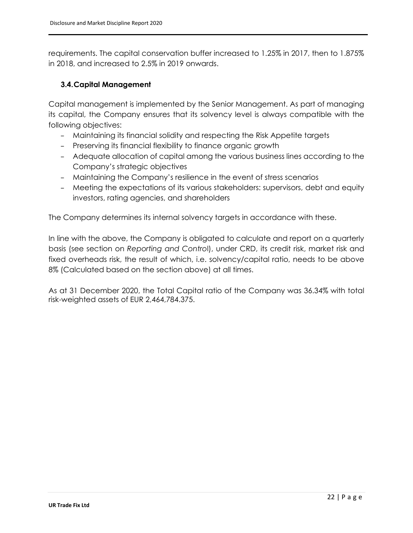requirements. The capital conservation buffer increased to 1.25% in 2017, then to 1.875% in 2018, and increased to 2.5% in 2019 onwards.

#### <span id="page-21-0"></span>**3.4.Capital Management**

Capital management is implemented by the Senior Management. As part of managing its capital, the Company ensures that its solvency level is always compatible with the following objectives:

- Maintaining its financial solidity and respecting the Risk Appetite targets
- Preserving its financial flexibility to finance organic growth
- Adequate allocation of capital among the various business lines according to the Company's strategic objectives
- Maintaining the Company's resilience in the event of stress scenarios
- Meeting the expectations of its various stakeholders: supervisors, debt and equity investors, rating agencies, and shareholders

The Company determines its internal solvency targets in accordance with these.

In line with the above, the Company is obligated to calculate and report on a quarterly basis (see section on *Reporting and Contro*l), under CRD, its credit risk, market risk and fixed overheads risk, the result of which, i.e. solvency/capital ratio, needs to be above 8% (Calculated based on the section above) at all times.

As at 31 December 2020, the Total Capital ratio of the Company was 36.34% with total risk-weighted assets of EUR 2,464,784.375.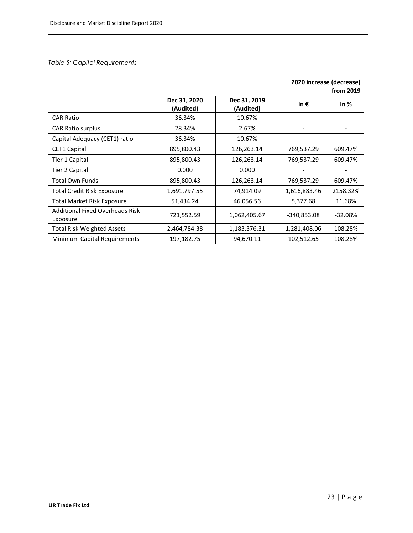#### <span id="page-22-0"></span>*Table 5: Capital Requirements*

|                                                    |                           |                           | 2020 increase (decrease) | from 2019 |
|----------------------------------------------------|---------------------------|---------------------------|--------------------------|-----------|
|                                                    | Dec 31, 2020<br>(Audited) | Dec 31, 2019<br>(Audited) | In $\epsilon$            | In $%$    |
| <b>CAR Ratio</b>                                   | 36.34%                    | 10.67%                    |                          |           |
| <b>CAR Ratio surplus</b>                           | 28.34%                    | 2.67%                     |                          |           |
| Capital Adequacy (CET1) ratio                      | 36.34%                    | 10.67%                    |                          |           |
| <b>CET1 Capital</b>                                | 895,800.43                | 126,263.14                | 769,537.29               | 609.47%   |
| Tier 1 Capital                                     | 895,800.43                | 126,263.14                | 769,537.29               | 609.47%   |
| Tier 2 Capital                                     | 0.000                     | 0.000                     |                          |           |
| <b>Total Own Funds</b>                             | 895,800.43                | 126,263.14                | 769,537.29               | 609.47%   |
| <b>Total Credit Risk Exposure</b>                  | 1,691,797.55              | 74,914.09                 | 1,616,883.46             | 2158.32%  |
| <b>Total Market Risk Exposure</b>                  | 51,434.24                 | 46,056.56                 | 5,377.68                 | 11.68%    |
| <b>Additional Fixed Overheads Risk</b><br>Exposure | 721,552.59                | 1,062,405.67              | $-340,853.08$            | $-32.08%$ |
| <b>Total Risk Weighted Assets</b>                  | 2,464,784.38              | 1,183,376.31              | 1,281,408.06             | 108.28%   |
| Minimum Capital Requirements                       | 197,182.75                | 94,670.11                 | 102,512.65               | 108.28%   |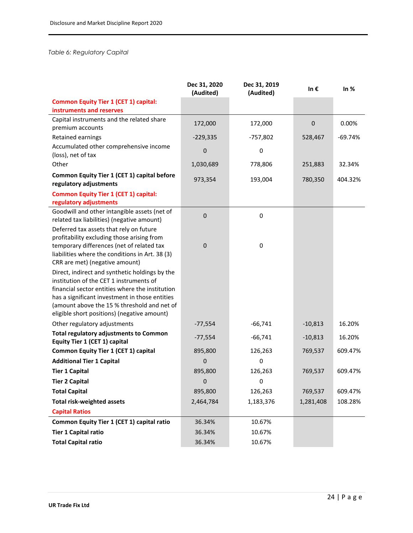#### <span id="page-23-0"></span>*Table 6: Regulatory Capital*

|                                                                                                                                                                                                                                                                                              | Dec 31, 2020<br>(Audited) | Dec 31, 2019<br>(Audited) | In $\epsilon$    | In $%$    |
|----------------------------------------------------------------------------------------------------------------------------------------------------------------------------------------------------------------------------------------------------------------------------------------------|---------------------------|---------------------------|------------------|-----------|
| <b>Common Equity Tier 1 (CET 1) capital:</b><br>instruments and reserves                                                                                                                                                                                                                     |                           |                           |                  |           |
| Capital instruments and the related share<br>premium accounts                                                                                                                                                                                                                                | 172,000                   | 172,000                   | $\boldsymbol{0}$ | 0.00%     |
| Retained earnings                                                                                                                                                                                                                                                                            | $-229,335$                | $-757,802$                | 528,467          | $-69.74%$ |
| Accumulated other comprehensive income<br>(loss), net of tax                                                                                                                                                                                                                                 | 0                         | 0                         |                  |           |
| Other                                                                                                                                                                                                                                                                                        | 1,030,689                 | 778,806                   | 251,883          | 32.34%    |
| Common Equity Tier 1 (CET 1) capital before<br>regulatory adjustments                                                                                                                                                                                                                        | 973,354                   | 193,004                   | 780,350          | 404.32%   |
| <b>Common Equity Tier 1 (CET 1) capital:</b><br>regulatory adjustments                                                                                                                                                                                                                       |                           |                           |                  |           |
| Goodwill and other intangible assets (net of<br>related tax liabilities) (negative amount)                                                                                                                                                                                                   | $\mathbf 0$               | 0                         |                  |           |
| Deferred tax assets that rely on future<br>profitability excluding those arising from<br>temporary differences (net of related tax<br>liabilities where the conditions in Art. 38 (3)<br>CRR are met) (negative amount)                                                                      | 0                         | 0                         |                  |           |
| Direct, indirect and synthetic holdings by the<br>institution of the CET 1 instruments of<br>financial sector entities where the institution<br>has a significant investment in those entities<br>(amount above the 15 % threshold and net of<br>eligible short positions) (negative amount) |                           |                           |                  |           |
| Other regulatory adjustments                                                                                                                                                                                                                                                                 | $-77,554$                 | $-66,741$                 | $-10,813$        | 16.20%    |
| <b>Total regulatory adjustments to Common</b><br>Equity Tier 1 (CET 1) capital                                                                                                                                                                                                               | $-77,554$                 | $-66,741$                 | $-10,813$        | 16.20%    |
| Common Equity Tier 1 (CET 1) capital                                                                                                                                                                                                                                                         | 895,800                   | 126,263                   | 769,537          | 609.47%   |
| <b>Additional Tier 1 Capital</b>                                                                                                                                                                                                                                                             | 0                         | 0                         |                  |           |
| <b>Tier 1 Capital</b>                                                                                                                                                                                                                                                                        | 895,800                   | 126,263                   | 769,537          | 609.47%   |
| <b>Tier 2 Capital</b>                                                                                                                                                                                                                                                                        | $\mathbf 0$               | $\mathbf 0$               |                  |           |
| <b>Total Capital</b>                                                                                                                                                                                                                                                                         | 895,800                   | 126,263                   | 769,537          | 609.47%   |
| <b>Total risk-weighted assets</b>                                                                                                                                                                                                                                                            | 2,464,784                 | 1,183,376                 | 1,281,408        | 108.28%   |
| <b>Capital Ratios</b>                                                                                                                                                                                                                                                                        |                           |                           |                  |           |
| Common Equity Tier 1 (CET 1) capital ratio                                                                                                                                                                                                                                                   | 36.34%                    | 10.67%                    |                  |           |
| <b>Tier 1 Capital ratio</b>                                                                                                                                                                                                                                                                  | 36.34%                    | 10.67%                    |                  |           |
| <b>Total Capital ratio</b>                                                                                                                                                                                                                                                                   | 36.34%                    | 10.67%                    |                  |           |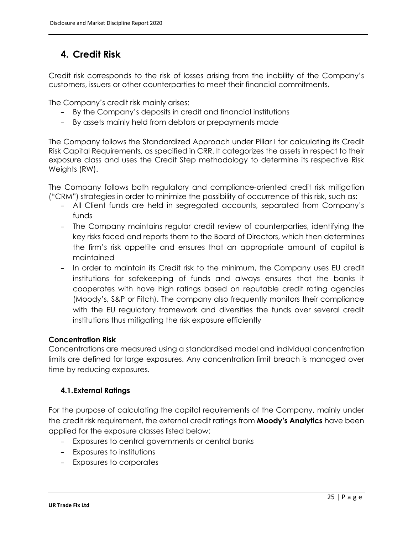## <span id="page-24-0"></span>**4. Credit Risk**

Credit risk corresponds to the risk of losses arising from the inability of the Company's customers, issuers or other counterparties to meet their financial commitments.

The Company's credit risk mainly arises:

- By the Company's deposits in credit and financial institutions
- By assets mainly held from debtors or prepayments made

The Company follows the Standardized Approach under Pillar I for calculating its Credit Risk Capital Requirements, as specified in CRR. It categorizes the assets in respect to their exposure class and uses the Credit Step methodology to determine its respective Risk Weights (RW).

The Company follows both regulatory and compliance-oriented credit risk mitigation ("CRM") strategies in order to minimize the possibility of occurrence of this risk, such as:

- All Client funds are held in segregated accounts, separated from Company's funds
- The Company maintains regular credit review of counterparties, identifying the key risks faced and reports them to the Board of Directors, which then determines the firm's risk appetite and ensures that an appropriate amount of capital is maintained
- In order to maintain its Credit risk to the minimum, the Company uses EU credit institutions for safekeeping of funds and always ensures that the banks it cooperates with have high ratings based on reputable credit rating agencies (Moody's, S&P or Fitch). The company also frequently monitors their compliance with the EU regulatory framework and diversifies the funds over several credit institutions thus mitigating the risk exposure efficiently

#### **Concentration Risk**

Concentrations are measured using a standardised model and individual concentration limits are defined for large exposures. Any concentration limit breach is managed over time by reducing exposures.

### <span id="page-24-1"></span>**4.1.External Ratings**

For the purpose of calculating the capital requirements of the Company, mainly under the credit risk requirement, the external credit ratings from **Moody's Analytics** have been applied for the exposure classes listed below:

- Exposures to central governments or central banks
- Exposures to institutions
- Exposures to corporates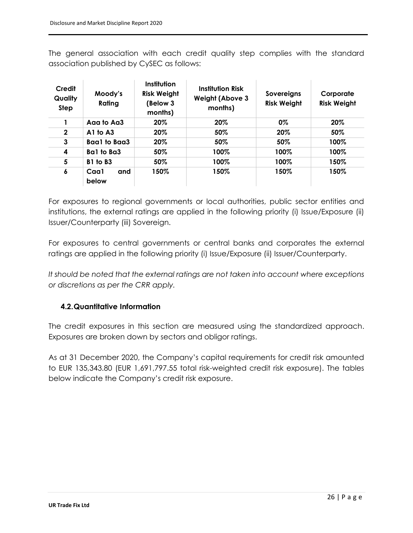The general association with each credit quality step complies with the standard association published by CySEC as follows:

| Credit<br><b>Quality</b><br><b>Step</b> | Moody's<br>Rating    | Institution<br><b>Risk Weight</b><br>(Below 3<br>months) | <b>Institution Risk</b><br><b>Weight (Above 3</b><br>months) | Sovereigns<br><b>Risk Weight</b> | Corporate<br><b>Risk Weight</b> |
|-----------------------------------------|----------------------|----------------------------------------------------------|--------------------------------------------------------------|----------------------------------|---------------------------------|
|                                         | Aaa to Aa3           | 20%                                                      | 20%                                                          | 0%                               | 20%                             |
| $\mathbf{2}$                            | $A1$ to $A3$         | 20%                                                      | 50%                                                          | 20%                              | 50%                             |
| 3                                       | Baa1 to Baa3         | 20%                                                      | 50%                                                          | 50%                              | 100%                            |
| 4                                       | Ba1 to Ba3           | 50%                                                      | 100%                                                         | 100%                             | 100%                            |
| 5                                       | B1 to B3             | 50%                                                      | 100%                                                         | 100%                             | 150%                            |
| 6                                       | Caa1<br>and<br>below | 150%                                                     | 150%                                                         | 150%                             | 150%                            |

For exposures to regional governments or local authorities, public sector entities and institutions, the external ratings are applied in the following priority (i) Issue/Exposure (ii) Issuer/Counterparty (iii) Sovereign.

For exposures to central governments or central banks and corporates the external ratings are applied in the following priority (i) Issue/Exposure (ii) Issuer/Counterparty.

*It should be noted that the external ratings are not taken into account where exceptions or discretions as per the CRR apply.*

### <span id="page-25-0"></span>**4.2.Quantitative Information**

The credit exposures in this section are measured using the standardized approach. Exposures are broken down by sectors and obligor ratings.

As at 31 December 2020, the Company's capital requirements for credit risk amounted to EUR 135,343.80 (EUR 1,691,797.55 total risk-weighted credit risk exposure). The tables below indicate the Company's credit risk exposure.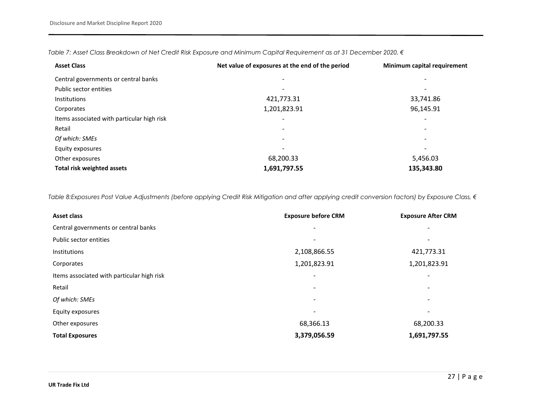*Table 7: Asset Class Breakdown of Net Credit Risk Exposure and Minimum Capital Requirement as at 31 December 2020, €* 

| <b>Asset Class</b>                         | Net value of exposures at the end of the period | Minimum capital requirement |
|--------------------------------------------|-------------------------------------------------|-----------------------------|
| Central governments or central banks       | $\overline{\phantom{0}}$                        | $\overline{\phantom{a}}$    |
| Public sector entities                     |                                                 | $\overline{\phantom{a}}$    |
| <b>Institutions</b>                        | 421,773.31                                      | 33,741.86                   |
| Corporates                                 | 1,201,823.91                                    | 96,145.91                   |
| Items associated with particular high risk |                                                 | $\overline{\phantom{a}}$    |
| Retail                                     | $\overline{\phantom{0}}$                        | $\overline{\phantom{a}}$    |
| Of which: SMEs                             | $\overline{\phantom{0}}$                        | $\overline{\phantom{a}}$    |
| Equity exposures                           |                                                 | $\overline{\phantom{0}}$    |
| Other exposures                            | 68,200.33                                       | 5,456.03                    |
| <b>Total risk weighted assets</b>          | 1,691,797.55                                    | 135,343.80                  |

<span id="page-26-0"></span>*Table 8:Exposures Post Value Adjustments (before applying Credit Risk Mitigation and after applying credit conversion factors) by Exposure Class, €* 

<span id="page-26-1"></span>

| <b>Asset class</b>                         | <b>Exposure before CRM</b> | <b>Exposure After CRM</b> |
|--------------------------------------------|----------------------------|---------------------------|
| Central governments or central banks       |                            |                           |
| Public sector entities                     |                            | ۰                         |
| Institutions                               | 2,108,866.55               | 421,773.31                |
| Corporates                                 | 1,201,823.91               | 1,201,823.91              |
| Items associated with particular high risk | $\qquad \qquad$            |                           |
| Retail                                     |                            |                           |
| Of which: SMEs                             | $\overline{\phantom{a}}$   |                           |
| Equity exposures                           |                            |                           |
| Other exposures                            | 68,366.13                  | 68,200.33                 |
| <b>Total Exposures</b>                     | 3,379,056.59               | 1,691,797.55              |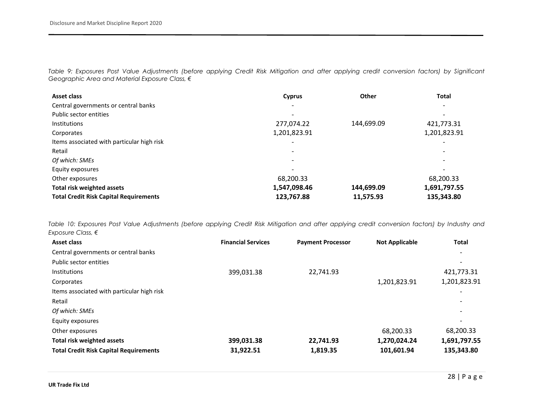*Table 9: Exposures Post Value Adjustments (before applying Credit Risk Mitigation and after applying credit conversion factors) by Significant Geographic Area and Material Exposure Class, €*

| Asset class                                   | <b>Cyprus</b> | <b>Other</b> | <b>Total</b> |
|-----------------------------------------------|---------------|--------------|--------------|
| Central governments or central banks          |               |              |              |
| Public sector entities                        |               |              |              |
| Institutions                                  | 277,074.22    | 144,699.09   | 421,773.31   |
| Corporates                                    | 1,201,823.91  |              | 1,201,823.91 |
| Items associated with particular high risk    |               |              |              |
| Retail                                        |               |              |              |
| Of which: SMEs                                |               |              |              |
| Equity exposures                              |               |              |              |
| Other exposures                               | 68,200.33     |              | 68,200.33    |
| Total risk weighted assets                    | 1,547,098.46  | 144,699.09   | 1,691,797.55 |
| <b>Total Credit Risk Capital Requirements</b> | 123,767.88    | 11,575.93    | 135,343.80   |

<span id="page-27-0"></span>*Table 10: Exposures Post Value Adjustments (before applying Credit Risk Mitigation and after applying credit conversion factors) by Industry and Exposure Class, €*

<span id="page-27-1"></span>

| <b>Asset class</b>                            | <b>Financial Services</b> | <b>Payment Processor</b> | <b>Not Applicable</b> | <b>Total</b> |
|-----------------------------------------------|---------------------------|--------------------------|-----------------------|--------------|
| Central governments or central banks          |                           |                          |                       |              |
| Public sector entities                        |                           |                          |                       |              |
| <b>Institutions</b>                           | 399,031.38                | 22,741.93                |                       | 421,773.31   |
| Corporates                                    |                           |                          | 1,201,823.91          | 1,201,823.91 |
| Items associated with particular high risk    |                           |                          |                       |              |
| Retail                                        |                           |                          |                       |              |
| Of which: SMEs                                |                           |                          |                       |              |
| Equity exposures                              |                           |                          |                       |              |
| Other exposures                               |                           |                          | 68,200.33             | 68,200.33    |
| <b>Total risk weighted assets</b>             | 399,031.38                | 22,741.93                | 1,270,024.24          | 1,691,797.55 |
| <b>Total Credit Risk Capital Requirements</b> | 31.922.51                 | 1,819.35                 | 101,601.94            | 135,343.80   |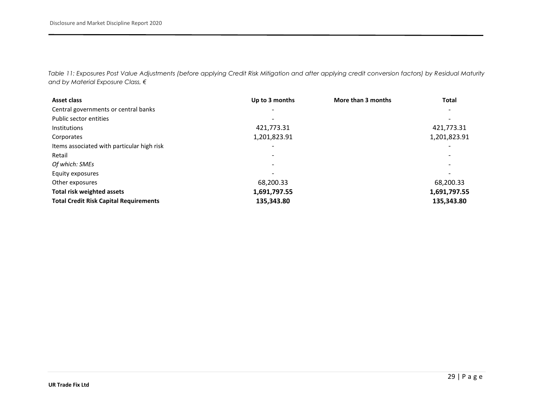*Table 11: Exposures Post Value Adjustments (before applying Credit Risk Mitigation and after applying credit conversion factors) by Residual Maturity and by Material Exposure Class, €*

<span id="page-28-0"></span>

| <b>Asset class</b>                            | Up to 3 months           | More than 3 months | <b>Total</b> |
|-----------------------------------------------|--------------------------|--------------------|--------------|
| Central governments or central banks          |                          |                    |              |
| Public sector entities                        |                          |                    |              |
| Institutions                                  | 421,773.31               |                    | 421,773.31   |
| Corporates                                    | 1,201,823.91             |                    | 1,201,823.91 |
| Items associated with particular high risk    | $\overline{\phantom{a}}$ |                    |              |
| Retail                                        |                          |                    |              |
| Of which: SMEs                                |                          |                    |              |
| Equity exposures                              |                          |                    |              |
| Other exposures                               | 68,200.33                |                    | 68,200.33    |
| Total risk weighted assets                    | 1,691,797.55             |                    | 1,691,797.55 |
| <b>Total Credit Risk Capital Requirements</b> | 135,343.80               |                    | 135,343.80   |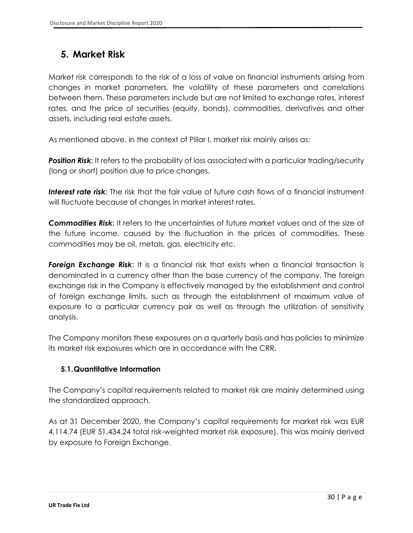### <span id="page-29-0"></span>**5. Market Risk**

Market risk corresponds to the risk of a loss of value on financial instruments arising from changes in market parameters, the volatility of these parameters and correlations between them. These parameters include but are not limited to exchange rates, interest rates, and the price of securities (equity, bonds), commodities, derivatives and other assets, including real estate assets.

As mentioned above, in the context of Pillar I, market risk mainly arises as:

**Position Risk:** It refers to the probability of loss associated with a particular trading/security (long or short) position due to price changes.

*Interest rate risk*: The risk that the fair value of future cash flows of a financial instrument will fluctuate because of changes in market interest rates.

*Commodities Risk*: It refers to the uncertainties of future market values and of the size of the future income, caused by the fluctuation in the prices of commodities. These commodities may be oil, metals, gas, electricity etc.

**Foreign Exchange Risk:** It is a financial risk that exists when a financial transaction is denominated in a currency other than the base currency of the company. The foreign exchange risk in the Company is effectively managed by the establishment and control of foreign exchange limits, such as through the establishment of maximum value of exposure to a particular currency pair as well as through the utilization of sensitivity analysis.

The Company monitors these exposures on a quarterly basis and has policies to minimize its market risk exposures which are in accordance with the CRR.

#### <span id="page-29-1"></span>**5.1.Quantitative Information**

The Company's capital requirements related to market risk are mainly determined using the standardized approach.

As at 31 December 2020, the Company's capital requirements for market risk was EUR 4,114.74 (EUR 51,434.24 total risk-weighted market risk exposure). This was mainly derived by exposure to Foreign Exchange.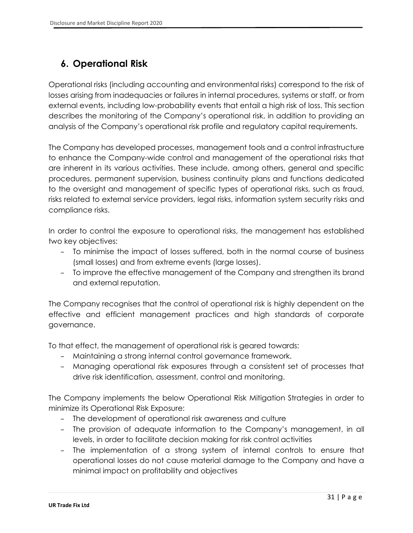# <span id="page-30-0"></span>**6. Operational Risk**

Operational risks (including accounting and environmental risks) correspond to the risk of losses arising from inadequacies or failures in internal procedures, systems or staff, or from external events, including low-probability events that entail a high risk of loss. This section describes the monitoring of the Company's operational risk, in addition to providing an analysis of the Company's operational risk profile and regulatory capital requirements.

The Company has developed processes, management tools and a control infrastructure to enhance the Company-wide control and management of the operational risks that are inherent in its various activities. These include, among others, general and specific procedures, permanent supervision, business continuity plans and functions dedicated to the oversight and management of specific types of operational risks, such as fraud, risks related to external service providers, legal risks, information system security risks and compliance risks.

In order to control the exposure to operational risks, the management has established two key objectives:

- To minimise the impact of losses suffered, both in the normal course of business (small losses) and from extreme events (large losses).
- To improve the effective management of the Company and strengthen its brand and external reputation.

The Company recognises that the control of operational risk is highly dependent on the effective and efficient management practices and high standards of corporate governance.

To that effect, the management of operational risk is geared towards:

- Maintaining a strong internal control governance framework.
- Managing operational risk exposures through a consistent set of processes that drive risk identification, assessment, control and monitoring.

The Company implements the below Operational Risk Mitigation Strategies in order to minimize its Operational Risk Exposure:

- The development of operational risk awareness and culture
- The provision of adequate information to the Company's management, in all levels, in order to facilitate decision making for risk control activities
- The implementation of a strong system of internal controls to ensure that operational losses do not cause material damage to the Company and have a minimal impact on profitability and objectives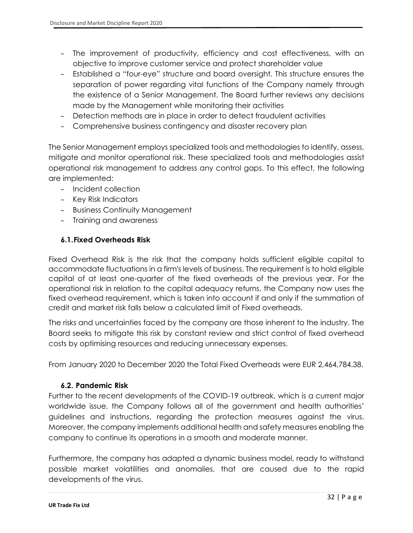- The improvement of productivity, efficiency and cost effectiveness, with an objective to improve customer service and protect shareholder value
- Established a "four-eye" structure and board oversight. This structure ensures the separation of power regarding vital functions of the Company namely through the existence of a Senior Management. The Board further reviews any decisions made by the Management while monitoring their activities
- Detection methods are in place in order to detect fraudulent activities
- Comprehensive business contingency and disaster recovery plan

The Senior Management employs specialized tools and methodologies to identify, assess, mitigate and monitor operational risk. These specialized tools and methodologies assist operational risk management to address any control gaps. To this effect, the following are implemented:

- Incident collection
- Key Risk Indicators
- Business Continuity Management
- Training and awareness

#### <span id="page-31-0"></span>**6.1.Fixed Overheads Risk**

Fixed Overhead Risk is the risk that the company holds sufficient eligible capital to accommodate fluctuations in a firm's levels of business. The requirement is to hold eligible capital of at least one-quarter of the fixed overheads of the previous year. For the operational risk in relation to the capital adequacy returns, the Company now uses the fixed overhead requirement, which is taken into account if and only if the summation of credit and market risk falls below a calculated limit of Fixed overheads.

The risks and uncertainties faced by the company are those inherent to the industry. The Board seeks to mitigate this risk by constant review and strict control of fixed overhead costs by optimising resources and reducing unnecessary expenses.

From January 2020 to December 2020 the Total Fixed Overheads were EUR 2,464,784.38.

#### <span id="page-31-1"></span>**6.2. Pandemic Risk**

Further to the recent developments of the COVID-19 outbreak, which is a current major worldwide issue, the Company follows all of the government and health authorities' guidelines and instructions, regarding the protection measures against the virus. Moreover, the company implements additional health and safety measures enabling the company to continue its operations in a smooth and moderate manner.

Furthermore, the company has adapted a dynamic business model, ready to withstand possible market volatilities and anomalies, that are caused due to the rapid developments of the virus.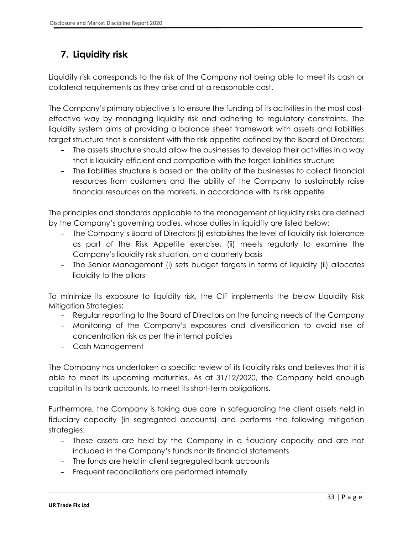## <span id="page-32-0"></span>**7. Liquidity risk**

Liquidity risk corresponds to the risk of the Company not being able to meet its cash or collateral requirements as they arise and at a reasonable cost.

The Company's primary objective is to ensure the funding of its activities in the most costeffective way by managing liquidity risk and adhering to regulatory constraints. The liquidity system aims at providing a balance sheet framework with assets and liabilities target structure that is consistent with the risk appetite defined by the Board of Directors:

- The assets structure should allow the businesses to develop their activities in a way that is liquidity-efficient and compatible with the target liabilities structure
- The liabilities structure is based on the ability of the businesses to collect financial resources from customers and the ability of the Company to sustainably raise financial resources on the markets, in accordance with its risk appetite

The principles and standards applicable to the management of liquidity risks are defined by the Company's governing bodies, whose duties in liquidity are listed below:

- The Company's Board of Directors (i) establishes the level of liquidity risk tolerance as part of the Risk Appetite exercise, (ii) meets regularly to examine the Company's liquidity risk situation, on a quarterly basis
- The Senior Management (i) sets budget targets in terms of liquidity (ii) allocates liquidity to the pillars

To minimize its exposure to liquidity risk, the CIF implements the below Liquidity Risk Mitigation Strategies:

- Regular reporting to the Board of Directors on the funding needs of the Company
- Monitoring of the Company's exposures and diversification to avoid rise of concentration risk as per the internal policies
- Cash Management

The Company has undertaken a specific review of its liquidity risks and believes that it is able to meet its upcoming maturities. As at 31/12/2020, the Company held enough capital in its bank accounts, to meet its short-term obligations.

Furthermore, the Company is taking due care in safeguarding the client assets held in fiduciary capacity (in segregated accounts) and performs the following mitigation strategies:

- These assets are held by the Company in a fiduciary capacity and are not included in the Company's funds nor its financial statements
- The funds are held in client segregated bank accounts
- Frequent reconciliations are performed internally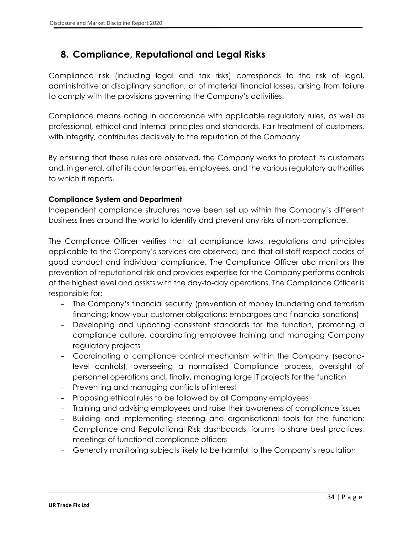### <span id="page-33-0"></span>**8. Compliance, Reputational and Legal Risks**

Compliance risk (including legal and tax risks) corresponds to the risk of legal, administrative or disciplinary sanction, or of material financial losses, arising from failure to comply with the provisions governing the Company's activities.

Compliance means acting in accordance with applicable regulatory rules, as well as professional, ethical and internal principles and standards. Fair treatment of customers, with integrity, contributes decisively to the reputation of the Company.

By ensuring that these rules are observed, the Company works to protect its customers and, in general, all of its counterparties, employees, and the various regulatory authorities to which it reports.

#### **Compliance System and Department**

Independent compliance structures have been set up within the Company's different business lines around the world to identify and prevent any risks of non-compliance.

The Compliance Officer verifies that all compliance laws, regulations and principles applicable to the Company's services are observed, and that all staff respect codes of good conduct and individual compliance. The Compliance Officer also monitors the prevention of reputational risk and provides expertise for the Company performs controls at the highest level and assists with the day-to-day operations. The Compliance Officer is responsible for:

- The Company's financial security (prevention of money laundering and terrorism financing; know-your-customer obligations; embargoes and financial sanctions)
- Developing and updating consistent standards for the function, promoting a compliance culture, coordinating employee training and managing Company regulatory projects
- Coordinating a compliance control mechanism within the Company (secondlevel controls), overseeing a normalised Compliance process, oversight of personnel operations and, finally, managing large IT projects for the function
- Preventing and managing conflicts of interest
- Proposing ethical rules to be followed by all Company employees
- Training and advising employees and raise their awareness of compliance issues
- Building and implementing steering and organisational tools for the function: Compliance and Reputational Risk dashboards, forums to share best practices, meetings of functional compliance officers
- Generally monitoring subjects likely to be harmful to the Company's reputation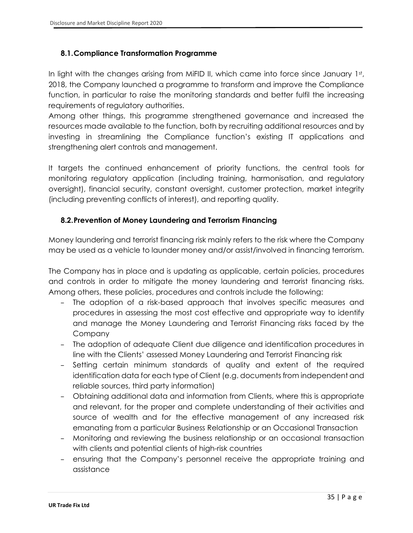#### <span id="page-34-0"></span>**8.1.Compliance Transformation Programme**

In light with the changes arising from MiFID II, which came into force since January 1st, 2018, the Company launched a programme to transform and improve the Compliance function, in particular to raise the monitoring standards and better fulfil the increasing requirements of regulatory authorities.

Among other things, this programme strengthened governance and increased the resources made available to the function, both by recruiting additional resources and by investing in streamlining the Compliance function's existing IT applications and strengthening alert controls and management.

It targets the continued enhancement of priority functions, the central tools for monitoring regulatory application (including training, harmonisation, and regulatory oversight), financial security, constant oversight, customer protection, market integrity (including preventing conflicts of interest), and reporting quality.

#### <span id="page-34-1"></span>**8.2.Prevention of Money Laundering and Terrorism Financing**

Money laundering and terrorist financing risk mainly refers to the risk where the Company may be used as a vehicle to launder money and/or assist/involved in financing terrorism.

The Company has in place and is updating as applicable, certain policies, procedures and controls in order to mitigate the money laundering and terrorist financing risks. Among others, these policies, procedures and controls include the following:

- The adoption of a risk-based approach that involves specific measures and procedures in assessing the most cost effective and appropriate way to identify and manage the Money Laundering and Terrorist Financing risks faced by the Company
- The adoption of adequate Client due diligence and identification procedures in line with the Clients' assessed Money Laundering and Terrorist Financing risk
- Setting certain minimum standards of quality and extent of the required identification data for each type of Client (e.g. documents from independent and reliable sources, third party information)
- Obtaining additional data and information from Clients, where this is appropriate and relevant, for the proper and complete understanding of their activities and source of wealth and for the effective management of any increased risk emanating from a particular Business Relationship or an Occasional Transaction
- Monitoring and reviewing the business relationship or an occasional transaction with clients and potential clients of high-risk countries
- ensuring that the Company's personnel receive the appropriate training and assistance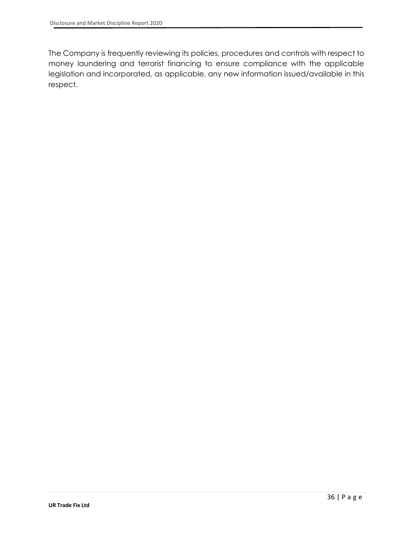The Company is frequently reviewing its policies, procedures and controls with respect to money laundering and terrorist financing to ensure compliance with the applicable legislation and incorporated, as applicable, any new information issued/available in this respect.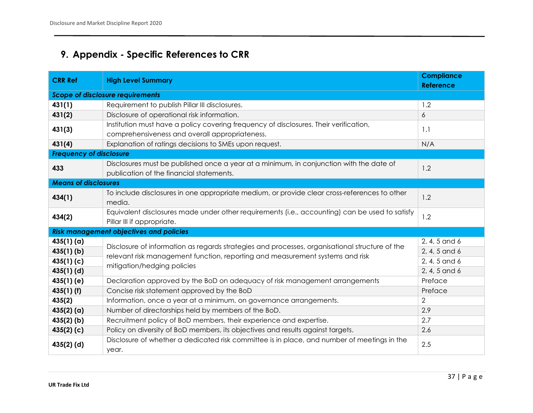# **9. Appendix - Specific References to CRR**

<span id="page-36-0"></span>

| <b>CRR Ref</b>                          | <b>High Level Summary</b>                                                                                                               | <b>Compliance</b><br><b>Reference</b> |  |  |  |
|-----------------------------------------|-----------------------------------------------------------------------------------------------------------------------------------------|---------------------------------------|--|--|--|
| <b>Scope of disclosure requirements</b> |                                                                                                                                         |                                       |  |  |  |
| 431(1)                                  | Requirement to publish Pillar III disclosures.                                                                                          | 1.2                                   |  |  |  |
| 431(2)                                  | Disclosure of operational risk information.                                                                                             | 6                                     |  |  |  |
| 431(3)                                  | Institution must have a policy covering frequency of disclosures. Their verification,<br>comprehensiveness and overall appropriateness. | 1.1                                   |  |  |  |
| 431(4)                                  | Explanation of ratings decisions to SMEs upon request.                                                                                  | N/A                                   |  |  |  |
| <b>Frequency of disclosure</b>          |                                                                                                                                         |                                       |  |  |  |
| 433                                     | Disclosures must be published once a year at a minimum, in conjunction with the date of<br>publication of the financial statements.     | 1.2                                   |  |  |  |
| <b>Means of disclosures</b>             |                                                                                                                                         |                                       |  |  |  |
| 434(1)                                  | To include disclosures in one appropriate medium, or provide clear cross-references to other<br>media.                                  | 1.2                                   |  |  |  |
| 434(2)                                  | Equivalent disclosures made under other requirements (i.e., accounting) can be used to satisfy<br>Pillar III if appropriate.            | 1.2                                   |  |  |  |
|                                         | <b>Risk management objectives and policies</b>                                                                                          |                                       |  |  |  |
| 435(1)(a)                               | Disclosure of information as regards strategies and processes, organisational structure of the                                          | 2, 4, 5 and 6                         |  |  |  |
| $435(1)$ (b)                            | relevant risk management function, reporting and measurement systems and risk                                                           | 2, 4, 5 and 6                         |  |  |  |
| 435(1)(c)                               | mitigation/hedging policies                                                                                                             | 2, 4, 5 and 6                         |  |  |  |
| $435(1)$ (d)                            |                                                                                                                                         | 2, 4, 5 and 6                         |  |  |  |
| $435(1)$ (e)                            | Declaration approved by the BoD on adequacy of risk management arrangements                                                             | Preface                               |  |  |  |
| $435(1)$ (f)                            | Concise risk statement approved by the BoD                                                                                              | Preface                               |  |  |  |
| 435(2)                                  | Information, once a year at a minimum, on governance arrangements.                                                                      | $\overline{2}$                        |  |  |  |
| $435(2)$ (a)                            | Number of directorships held by members of the BoD.                                                                                     | 2.9                                   |  |  |  |
| $435(2)$ (b)                            | Recruitment policy of BoD members, their experience and expertise.                                                                      | 2.7                                   |  |  |  |
| 435(2)(c)                               | Policy on diversity of BoD members, its objectives and results against targets.                                                         | 2.6                                   |  |  |  |
| $435(2)$ (d)                            | Disclosure of whether a dedicated risk committee is in place, and number of meetings in the<br>year.                                    | 2.5                                   |  |  |  |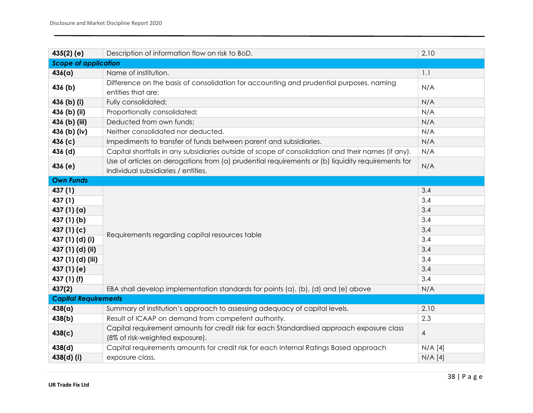| $435(2)$ (e)                | Description of information flow on risk to BoD.                                                    | 2.10           |  |
|-----------------------------|----------------------------------------------------------------------------------------------------|----------------|--|
| <b>Scope of application</b> |                                                                                                    |                |  |
| 436(a)                      | Name of institution.                                                                               | 1.1            |  |
| 436 (b)                     | Difference on the basis of consolidation for accounting and prudential purposes, naming            | N/A            |  |
|                             | entities that are:                                                                                 |                |  |
| 436 (b) (i)                 | Fully consolidated;                                                                                | N/A            |  |
| 436 (b) (ii)                | Proportionally consolidated;                                                                       | N/A            |  |
| 436 (b) (iii)               | Deducted from own funds;                                                                           | N/A            |  |
| 436 (b) (iv)                | Neither consolidated nor deducted.                                                                 | N/A            |  |
| 436(c)                      | Impediments to transfer of funds between parent and subsidiaries.                                  | N/A            |  |
| 436 (d)                     | Capital shortfalls in any subsidiaries outside of scope of consolidation and their names (if any). | N/A            |  |
| 436 (e)                     | Use of articles on derogations from (a) prudential requirements or (b) liquidity requirements for  | N/A            |  |
|                             | individual subsidiaries / entities.                                                                |                |  |
| <b>Own Funds</b>            |                                                                                                    |                |  |
| 437 (1)                     |                                                                                                    | 3.4            |  |
| 437 (1)                     |                                                                                                    | 3.4            |  |
| 437(1)(a)                   |                                                                                                    | 3.4            |  |
| 437 (1) (b)                 |                                                                                                    | 3.4            |  |
| 437(1)(c)                   | Requirements regarding capital resources table                                                     | 3.4            |  |
| 437 (1) (d) (i)             |                                                                                                    | 3.4            |  |
| 437 (1) (d) (ii)            |                                                                                                    | 3.4            |  |
| 437 (1) (d) (iii)           |                                                                                                    | 3.4            |  |
| 437 (1) (e)                 |                                                                                                    | 3.4            |  |
| 437 (1) (f)                 |                                                                                                    | 3.4            |  |
| 437(2)                      | EBA shall develop implementation standards for points (a), (b), (d) and (e) above                  | N/A            |  |
| <b>Capital Requirements</b> |                                                                                                    |                |  |
| 438(a)                      | Summary of institution's approach to assessing adequacy of capital levels.                         | 2.10           |  |
| 438(b)                      | Result of ICAAP on demand from competent authority.                                                | 2.3            |  |
| 438(c)                      | Capital requirement amounts for credit risk for each Standardised approach exposure class          | $\overline{4}$ |  |
|                             | (8% of risk-weighted exposure).                                                                    |                |  |
| 438(d)                      | Capital requirements amounts for credit risk for each Internal Ratings Based approach              | $N/A$ [4]      |  |
| 438(d) (i)                  | exposure class.                                                                                    | $N/A$ [4]      |  |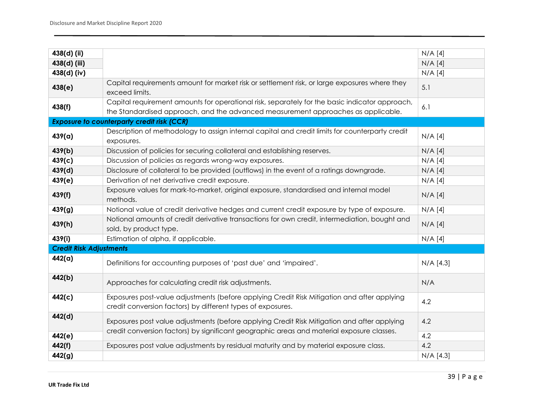| 438(d) (ii)                    |                                                                                                                                                                                          | $N/A$ [4]   |
|--------------------------------|------------------------------------------------------------------------------------------------------------------------------------------------------------------------------------------|-------------|
| 438(d) (iii)                   |                                                                                                                                                                                          | $N/A$ [4]   |
| 438(d) (iv)                    |                                                                                                                                                                                          | $N/A$ [4]   |
|                                | Capital requirements amount for market risk or settlement risk, or large exposures where they                                                                                            |             |
| 438(e)                         | exceed limits.                                                                                                                                                                           | 5.1         |
| 438(f)                         | Capital requirement amounts for operational risk, separately for the basic indicator approach,                                                                                           | 6.1         |
|                                | the Standardised approach, and the advanced measurement approaches as applicable.                                                                                                        |             |
|                                | <b>Exposure to counterparty credit risk (CCR)</b>                                                                                                                                        |             |
| 439(a)                         | Description of methodology to assign internal capital and credit limits for counterparty credit                                                                                          | $N/A$ [4]   |
|                                | exposures.                                                                                                                                                                               |             |
| 439(b)                         | Discussion of policies for securing collateral and establishing reserves.                                                                                                                | $N/A$ [4]   |
| 439(c)                         | Discussion of policies as regards wrong-way exposures.                                                                                                                                   | $N/A$ [4]   |
| 439(d)                         | Disclosure of collateral to be provided (outflows) in the event of a ratings downgrade.                                                                                                  | $N/A$ [4]   |
| 439(e)                         | Derivation of net derivative credit exposure.                                                                                                                                            | $N/A$ [4]   |
| 439(f)                         | Exposure values for mark-to-market, original exposure, standardised and internal model<br>methods.                                                                                       | $N/A$ [4]   |
| 439(g)                         | Notional value of credit derivative hedges and current credit exposure by type of exposure.                                                                                              | $N/A$ [4]   |
|                                | Notional amounts of credit derivative transactions for own credit, intermediation, bought and                                                                                            |             |
| 439(h)                         | sold, by product type.                                                                                                                                                                   | $N/A$ [4]   |
| 439(i)                         | Estimation of alpha, if applicable.                                                                                                                                                      | $N/A$ [4]   |
| <b>Credit Risk Adjustments</b> |                                                                                                                                                                                          |             |
| 442(a)                         | Definitions for accounting purposes of 'past due' and 'impaired'.                                                                                                                        | $N/A$ [4.3] |
| 442(b)                         | Approaches for calculating credit risk adjustments.                                                                                                                                      | N/A         |
| 442(c)                         | Exposures post-value adjustments (before applying Credit Risk Mitigation and after applying<br>credit conversion factors) by different types of exposures.                               | 4.2         |
| 442(d)                         | Exposures post value adjustments (before applying Credit Risk Mitigation and after applying<br>credit conversion factors) by significant geographic areas and material exposure classes. | 4.2         |
| 442(e)                         |                                                                                                                                                                                          | 4.2         |
| 442(f)                         | Exposures post value adjustments by residual maturity and by material exposure class.                                                                                                    | 4.2         |
| 442(g)                         |                                                                                                                                                                                          | $N/A$ [4.3] |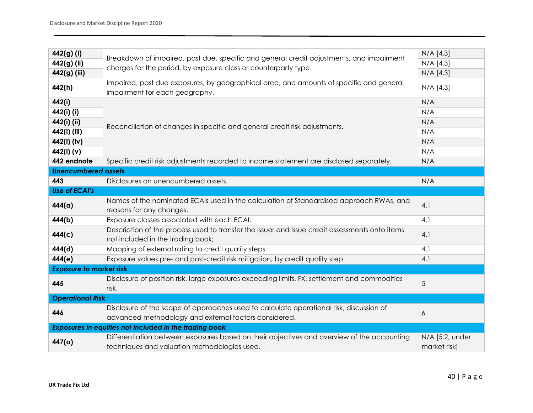| 442(g) (i)                                             | Breakdown of impaired, past due, specific and general credit adjustments, and impairment                                                         | $N/A$ [4.3]                     |  |  |
|--------------------------------------------------------|--------------------------------------------------------------------------------------------------------------------------------------------------|---------------------------------|--|--|
| 442(g) (ii)                                            |                                                                                                                                                  | $N/A$ [4.3]                     |  |  |
| 442(g) (iii)                                           | charges for the period, by exposure class or counterparty type.                                                                                  | $N/A$ [4.3]                     |  |  |
| 442(h)                                                 | Impaired, past due exposures, by geographical area, and amounts of specific and general<br>impairment for each geography.                        | $N/A$ [4.3]                     |  |  |
| 442(i)                                                 |                                                                                                                                                  | N/A                             |  |  |
| 442(i) (i)                                             | Reconciliation of changes in specific and general credit risk adjustments.                                                                       | N/A                             |  |  |
| 442(i) (ii)                                            |                                                                                                                                                  | N/A                             |  |  |
| 442(i) (iii)                                           |                                                                                                                                                  | N/A                             |  |  |
| 442(i) (iv)                                            |                                                                                                                                                  | N/A                             |  |  |
| 442(i) (v)                                             |                                                                                                                                                  | N/A                             |  |  |
| 442 endnote                                            | Specific credit risk adjustments recorded to income statement are disclosed separately.                                                          | N/A                             |  |  |
| <b>Unencumbered assets</b>                             |                                                                                                                                                  |                                 |  |  |
| 443                                                    | Disclosures on unencumbered assets.                                                                                                              | N/A                             |  |  |
| <b>Use of ECAI's</b>                                   |                                                                                                                                                  |                                 |  |  |
| 444(a)                                                 | Names of the nominated ECAIs used in the calculation of Standardised approach RWAs, and<br>reasons for any changes.                              | 4.1                             |  |  |
| 444(b)                                                 | Exposure classes associated with each ECAI.                                                                                                      | 4.1                             |  |  |
| 444(c)                                                 | Description of the process used to transfer the issuer and issue credit assessments onto items<br>not included in the trading book;              | 4.1                             |  |  |
| 444(d)                                                 | Mapping of external rating to credit quality steps.                                                                                              | 4.1                             |  |  |
| 444(e)                                                 | Exposure values pre- and post-credit risk mitigation, by credit quality step.                                                                    | 4.1                             |  |  |
| <b>Exposure to market risk</b>                         |                                                                                                                                                  |                                 |  |  |
| 445                                                    | Disclosure of position risk, large exposures exceeding limits, FX, settlement and commodities<br>risk.                                           | 5                               |  |  |
| <b>Operational Risk</b>                                |                                                                                                                                                  |                                 |  |  |
| 446                                                    | Disclosure of the scope of approaches used to calculate operational risk, discussion of<br>advanced methodology and external factors considered. | 6                               |  |  |
| Exposures in equities not included in the trading book |                                                                                                                                                  |                                 |  |  |
| 447(a)                                                 | Differentiation between exposures based on their objectives and overview of the accounting<br>techniques and valuation methodologies used.       | N/A [5.2, under<br>market risk] |  |  |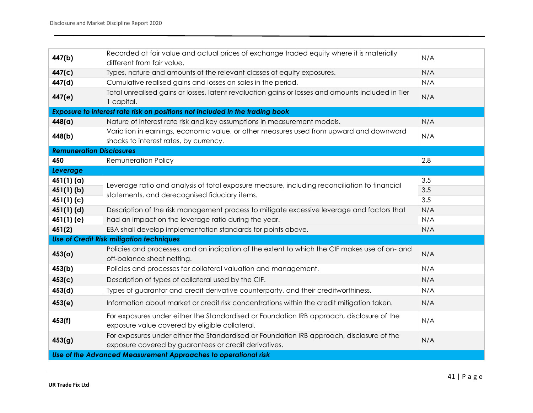| 447(b)                                                                       | Recorded at fair value and actual prices of exchange traded equity where it is materially<br>different from fair value.                            | N/A |  |  |
|------------------------------------------------------------------------------|----------------------------------------------------------------------------------------------------------------------------------------------------|-----|--|--|
| 447(c)                                                                       | Types, nature and amounts of the relevant classes of equity exposures.                                                                             | N/A |  |  |
| 447(d)                                                                       | Cumulative realised gains and losses on sales in the period.                                                                                       | N/A |  |  |
| 447(e)                                                                       | Total unrealised gains or losses, latent revaluation gains or losses and amounts included in Tier<br>1 capital.                                    | N/A |  |  |
| Exposure to interest rate risk on positions not included in the trading book |                                                                                                                                                    |     |  |  |
| 448(a)                                                                       | Nature of interest rate risk and key assumptions in measurement models.                                                                            | N/A |  |  |
| 448(b)                                                                       | Variation in earnings, economic value, or other measures used from upward and downward<br>shocks to interest rates, by currency.                   | N/A |  |  |
| <b>Remuneration Disclosures</b>                                              |                                                                                                                                                    |     |  |  |
| 450                                                                          | <b>Remuneration Policy</b>                                                                                                                         | 2.8 |  |  |
| Leverage                                                                     |                                                                                                                                                    |     |  |  |
| 451(1)(a)                                                                    |                                                                                                                                                    | 3.5 |  |  |
| $451(1)$ (b)                                                                 | Leverage ratio and analysis of total exposure measure, including reconciliation to financial<br>statements, and derecognised fiduciary items.      | 3.5 |  |  |
| 451(1)(c)                                                                    |                                                                                                                                                    | 3.5 |  |  |
| $451(1)$ (d)                                                                 | Description of the risk management process to mitigate excessive leverage and factors that                                                         | N/A |  |  |
| 451(1)(e)                                                                    | had an impact on the leverage ratio during the year.                                                                                               | N/A |  |  |
| 451(2)                                                                       | EBA shall develop implementation standards for points above.                                                                                       | N/A |  |  |
|                                                                              | <b>Use of Credit Risk mitigation techniques</b>                                                                                                    |     |  |  |
| 453(a)                                                                       | Policies and processes, and an indication of the extent to which the CIF makes use of on- and<br>off-balance sheet netting.                        | N/A |  |  |
| 453(b)                                                                       | Policies and processes for collateral valuation and management.                                                                                    | N/A |  |  |
| 453(c)                                                                       | Description of types of collateral used by the CIF.                                                                                                | N/A |  |  |
| 453(d)                                                                       | Types of guarantor and credit derivative counterparty, and their creditworthiness.                                                                 | N/A |  |  |
| 453(e)                                                                       | Information about market or credit risk concentrations within the credit mitigation taken.                                                         | N/A |  |  |
| 453(f)                                                                       | For exposures under either the Standardised or Foundation IRB approach, disclosure of the<br>exposure value covered by eligible collateral.        | N/A |  |  |
| 453(g)                                                                       | For exposures under either the Standardised or Foundation IRB approach, disclosure of the<br>exposure covered by guarantees or credit derivatives. | N/A |  |  |
| Use of the Advanced Measurement Approaches to operational risk               |                                                                                                                                                    |     |  |  |